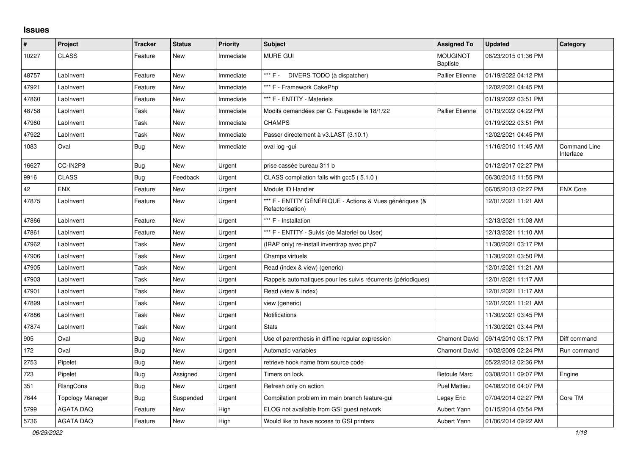## **Issues**

| $\pmb{\#}$ | Project                 | <b>Tracker</b> | <b>Status</b> | <b>Priority</b> | <b>Subject</b>                                                              | <b>Assigned To</b>                 | <b>Updated</b>      | Category                  |
|------------|-------------------------|----------------|---------------|-----------------|-----------------------------------------------------------------------------|------------------------------------|---------------------|---------------------------|
| 10227      | <b>CLASS</b>            | Feature        | New           | Immediate       | <b>MURE GUI</b>                                                             | <b>MOUGINOT</b><br><b>Baptiste</b> | 06/23/2015 01:36 PM |                           |
| 48757      | LabInvent               | Feature        | <b>New</b>    | Immediate       | *** F -<br>DIVERS TODO (à dispatcher)                                       | Pallier Etienne                    | 01/19/2022 04:12 PM |                           |
| 47921      | LabInvent               | Feature        | <b>New</b>    | Immediate       | *** F - Framework CakePhp                                                   |                                    | 12/02/2021 04:45 PM |                           |
| 47860      | LabInvent               | Feature        | <b>New</b>    | Immediate       | *** F - ENTITY - Materiels                                                  |                                    | 01/19/2022 03:51 PM |                           |
| 48758      | LabInvent               | Task           | <b>New</b>    | Immediate       | Modifs demandées par C. Feugeade le 18/1/22                                 | <b>Pallier Etienne</b>             | 01/19/2022 04:22 PM |                           |
| 47960      | LabInvent               | Task           | <b>New</b>    | Immediate       | <b>CHAMPS</b>                                                               |                                    | 01/19/2022 03:51 PM |                           |
| 47922      | LabInvent               | Task           | <b>New</b>    | Immediate       | Passer directement à v3.LAST (3.10.1)                                       |                                    | 12/02/2021 04:45 PM |                           |
| 1083       | Oval                    | Bug            | <b>New</b>    | Immediate       | oval log -gui                                                               |                                    | 11/16/2010 11:45 AM | Command Line<br>Interface |
| 16627      | CC-IN2P3                | <b>Bug</b>     | <b>New</b>    | Urgent          | prise cassée bureau 311 b                                                   |                                    | 01/12/2017 02:27 PM |                           |
| 9916       | <b>CLASS</b>            | Bug            | Feedback      | Urgent          | CLASS compilation fails with gcc5 (5.1.0)                                   |                                    | 06/30/2015 11:55 PM |                           |
| 42         | <b>ENX</b>              | Feature        | <b>New</b>    | Urgent          | Module ID Handler                                                           |                                    | 06/05/2013 02:27 PM | <b>ENX Core</b>           |
| 47875      | LabInvent               | Feature        | <b>New</b>    | Urgent          | *** F - ENTITY GÉNÉRIQUE - Actions & Vues génériques (&<br>Refactorisation) |                                    | 12/01/2021 11:21 AM |                           |
| 47866      | LabInvent               | Feature        | New           | Urgent          | *** F - Installation                                                        |                                    | 12/13/2021 11:08 AM |                           |
| 47861      | LabInvent               | Feature        | <b>New</b>    | Urgent          | *** F - ENTITY - Suivis (de Materiel ou User)                               |                                    | 12/13/2021 11:10 AM |                           |
| 47962      | LabInvent               | Task           | <b>New</b>    | Urgent          | (IRAP only) re-install inventirap avec php7                                 |                                    | 11/30/2021 03:17 PM |                           |
| 47906      | LabInvent               | Task           | New           | Urgent          | Champs virtuels                                                             |                                    | 11/30/2021 03:50 PM |                           |
| 47905      | LabInvent               | Task           | <b>New</b>    | Urgent          | Read (index & view) (generic)                                               |                                    | 12/01/2021 11:21 AM |                           |
| 47903      | LabInvent               | Task           | <b>New</b>    | Urgent          | Rappels automatiques pour les suivis récurrents (périodiques)               |                                    | 12/01/2021 11:17 AM |                           |
| 47901      | LabInvent               | Task           | <b>New</b>    | Urgent          | Read (view & index)                                                         |                                    | 12/01/2021 11:17 AM |                           |
| 47899      | LabInvent               | Task           | <b>New</b>    | Urgent          | view (generic)                                                              |                                    | 12/01/2021 11:21 AM |                           |
| 47886      | LabInvent               | Task           | <b>New</b>    | Urgent          | <b>Notifications</b>                                                        |                                    | 11/30/2021 03:45 PM |                           |
| 47874      | LabInvent               | Task           | <b>New</b>    | Urgent          | <b>Stats</b>                                                                |                                    | 11/30/2021 03:44 PM |                           |
| 905        | Oval                    | Bug            | <b>New</b>    | Urgent          | Use of parenthesis in diffline regular expression                           | <b>Chamont David</b>               | 09/14/2010 06:17 PM | Diff command              |
| 172        | Oval                    | Bug            | <b>New</b>    | Urgent          | Automatic variables                                                         | Chamont David                      | 10/02/2009 02:24 PM | Run command               |
| 2753       | Pipelet                 | Bug            | <b>New</b>    | Urgent          | retrieve hook name from source code                                         |                                    | 05/22/2012 02:36 PM |                           |
| 723        | Pipelet                 | <b>Bug</b>     | Assigned      | Urgent          | Timers on lock                                                              | <b>Betoule Marc</b>                | 03/08/2011 09:07 PM | Engine                    |
| 351        | <b>RIsngCons</b>        | Bug            | New           | Urgent          | Refresh only on action                                                      | <b>Puel Mattieu</b>                | 04/08/2016 04:07 PM |                           |
| 7644       | <b>Topology Manager</b> | Bug            | Suspended     | Urgent          | Compilation problem im main branch feature-gui                              | Legay Eric                         | 07/04/2014 02:27 PM | Core TM                   |
| 5799       | <b>AGATA DAQ</b>        | Feature        | <b>New</b>    | High            | ELOG not available from GSI guest network                                   | Aubert Yann                        | 01/15/2014 05:54 PM |                           |
| 5736       | <b>AGATA DAQ</b>        | Feature        | New           | High            | Would like to have access to GSI printers                                   | Aubert Yann                        | 01/06/2014 09:22 AM |                           |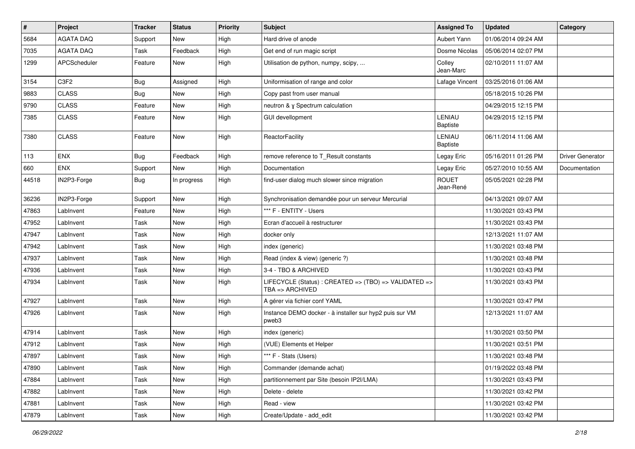| #     | Project                       | <b>Tracker</b> | <b>Status</b> | <b>Priority</b> | Subject                                                                  | <b>Assigned To</b>        | <b>Updated</b>      | Category                |
|-------|-------------------------------|----------------|---------------|-----------------|--------------------------------------------------------------------------|---------------------------|---------------------|-------------------------|
| 5684  | <b>AGATA DAQ</b>              | Support        | New           | High            | Hard drive of anode                                                      | Aubert Yann               | 01/06/2014 09:24 AM |                         |
| 7035  | <b>AGATA DAQ</b>              | Task           | Feedback      | High            | Get end of run magic script                                              | Dosme Nicolas             | 05/06/2014 02:07 PM |                         |
| 1299  | APCScheduler                  | Feature        | New           | High            | Utilisation de python, numpy, scipy,                                     | Colley<br>Jean-Marc       | 02/10/2011 11:07 AM |                         |
| 3154  | C <sub>3</sub> F <sub>2</sub> | Bug            | Assigned      | High            | Uniformisation of range and color                                        | Lafage Vincent            | 03/25/2016 01:06 AM |                         |
| 9883  | <b>CLASS</b>                  | <b>Bug</b>     | New           | High            | Copy past from user manual                                               |                           | 05/18/2015 10:26 PM |                         |
| 9790  | <b>CLASS</b>                  | Feature        | New           | High            | neutron & y Spectrum calculation                                         |                           | 04/29/2015 12:15 PM |                         |
| 7385  | <b>CLASS</b>                  | Feature        | New           | High            | <b>GUI devellopment</b>                                                  | LENIAU<br><b>Baptiste</b> | 04/29/2015 12:15 PM |                         |
| 7380  | <b>CLASS</b>                  | Feature        | New           | High            | ReactorFacility                                                          | LENIAU<br><b>Baptiste</b> | 06/11/2014 11:06 AM |                         |
| 113   | <b>ENX</b>                    | <b>Bug</b>     | Feedback      | High            | remove reference to T_Result constants                                   | Legay Eric                | 05/16/2011 01:26 PM | <b>Driver Generator</b> |
| 660   | <b>ENX</b>                    | Support        | New           | High            | Documentation                                                            | Legay Eric                | 05/27/2010 10:55 AM | Documentation           |
| 44518 | IN2P3-Forge                   | Bug            | In progress   | High            | find-user dialog much slower since migration                             | <b>ROUET</b><br>Jean-René | 05/05/2021 02:28 PM |                         |
| 36236 | IN2P3-Forge                   | Support        | New           | High            | Synchronisation demandée pour un serveur Mercurial                       |                           | 04/13/2021 09:07 AM |                         |
| 47863 | LabInvent                     | Feature        | New           | High            | *** F - ENTITY - Users                                                   |                           | 11/30/2021 03:43 PM |                         |
| 47952 | LabInvent                     | Task           | New           | High            | Ecran d'accueil à restructurer                                           |                           | 11/30/2021 03:43 PM |                         |
| 47947 | LabInvent                     | Task           | New           | High            | docker only                                                              |                           | 12/13/2021 11:07 AM |                         |
| 47942 | LabInvent                     | Task           | New           | High            | index (generic)                                                          |                           | 11/30/2021 03:48 PM |                         |
| 47937 | LabInvent                     | Task           | New           | High            | Read (index & view) (generic ?)                                          |                           | 11/30/2021 03:48 PM |                         |
| 47936 | LabInvent                     | Task           | New           | High            | 3-4 - TBO & ARCHIVED                                                     |                           | 11/30/2021 03:43 PM |                         |
| 47934 | LabInvent                     | Task           | New           | High            | LIFECYCLE (Status) : CREATED => (TBO) => VALIDATED =><br>TBA => ARCHIVED |                           | 11/30/2021 03:43 PM |                         |
| 47927 | LabInvent                     | Task           | New           | High            | A gérer via fichier conf YAML                                            |                           | 11/30/2021 03:47 PM |                         |
| 47926 | LabInvent                     | Task           | New           | High            | Instance DEMO docker - à installer sur hyp2 puis sur VM<br>pweb3         |                           | 12/13/2021 11:07 AM |                         |
| 47914 | LabInvent                     | Task           | New           | High            | index (generic)                                                          |                           | 11/30/2021 03:50 PM |                         |
| 47912 | LabInvent                     | Task           | New           | High            | (VUE) Elements et Helper                                                 |                           | 11/30/2021 03:51 PM |                         |
| 47897 | LabInvent                     | Task           | New           | High            | *** F - Stats (Users)                                                    |                           | 11/30/2021 03:48 PM |                         |
| 47890 | LabInvent                     | Task           | New           | High            | Commander (demande achat)                                                |                           | 01/19/2022 03:48 PM |                         |
| 47884 | LabInvent                     | Task           | New           | High            | partitionnement par Site (besoin IP2I/LMA)                               |                           | 11/30/2021 03:43 PM |                         |
| 47882 | LabInvent                     | Task           | New           | High            | Delete - delete                                                          |                           | 11/30/2021 03:42 PM |                         |
| 47881 | LabInvent                     | Task           | New           | High            | Read - view                                                              |                           | 11/30/2021 03:42 PM |                         |
| 47879 | LabInvent                     | Task           | New           | High            | Create/Update - add_edit                                                 |                           | 11/30/2021 03:42 PM |                         |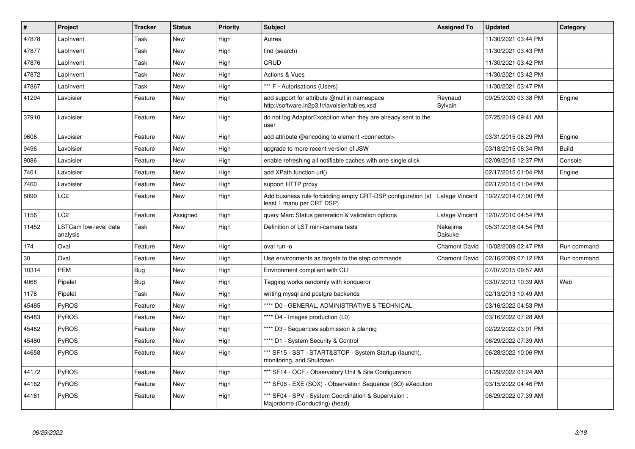| $\vert$ # | Project                           | <b>Tracker</b> | <b>Status</b> | <b>Priority</b> | <b>Subject</b>                                                                                | <b>Assigned To</b>   | <b>Updated</b>      | Category    |
|-----------|-----------------------------------|----------------|---------------|-----------------|-----------------------------------------------------------------------------------------------|----------------------|---------------------|-------------|
| 47878     | LabInvent                         | Task           | <b>New</b>    | High            | Autres                                                                                        |                      | 11/30/2021 03:44 PM |             |
| 47877     | LabInvent                         | Task           | <b>New</b>    | High            | find (search)                                                                                 |                      | 11/30/2021 03:43 PM |             |
| 47876     | LabInvent                         | Task           | <b>New</b>    | High            | CRUD                                                                                          |                      | 11/30/2021 03:42 PM |             |
| 47872     | Lablnvent                         | Task           | <b>New</b>    | High            | <b>Actions &amp; Vues</b>                                                                     |                      | 11/30/2021 03:42 PM |             |
| 47867     | LabInvent                         | Task           | <b>New</b>    | High            | *** F - Autorisations (Users)                                                                 |                      | 11/30/2021 03:47 PM |             |
| 41294     | Lavoisier                         | Feature        | <b>New</b>    | High            | add support for attribute @null in namespace<br>http://software.in2p3.fr/lavoisier/tables.xsd | Reynaud<br>Sylvain   | 09/25/2020 03:38 PM | Engine      |
| 37910     | Lavoisier                         | Feature        | New           | High            | do not log AdaptorException when they are already sent to the<br>user                         |                      | 07/25/2019 09:41 AM |             |
| 9606      | Lavoisier                         | Feature        | <b>New</b>    | High            | add attribute @encoding to element <connector></connector>                                    |                      | 03/31/2015 06:29 PM | Engine      |
| 9496      | Lavoisier                         | Feature        | New           | High            | upgrade to more recent version of JSW                                                         |                      | 03/18/2015 06:34 PM | Build       |
| 9086      | Lavoisier                         | Feature        | <b>New</b>    | High            | enable refreshing all notifiable caches with one single click                                 |                      | 02/09/2015 12:37 PM | Console     |
| 7461      | Lavoisier                         | Feature        | <b>New</b>    | High            | add XPath function url()                                                                      |                      | 02/17/2015 01:04 PM | Engine      |
| 7460      | Lavoisier                         | Feature        | <b>New</b>    | High            | support HTTP proxy                                                                            |                      | 02/17/2015 01:04 PM |             |
| 8099      | LC <sub>2</sub>                   | Feature        | New           | High            | Add business rule forbidding empty CRT-DSP configuration (at<br>least 1 manu per CRT DSP)     | Lafage Vincent       | 10/27/2014 07:00 PM |             |
| 1156      | LC <sub>2</sub>                   | Feature        | Assigned      | High            | query Marc Status generation & validation options                                             | Lafage Vincent       | 12/07/2010 04:54 PM |             |
| 11452     | LSTCam low-level data<br>analysis | Task           | <b>New</b>    | High            | Definition of LST mini-camera tests                                                           | Nakajima<br>Daisuke  | 05/31/2018 04:54 PM |             |
| 174       | Oval                              | Feature        | <b>New</b>    | High            | oval run -o                                                                                   | Chamont David        | 10/02/2009 02:47 PM | Run command |
| 30        | Oval                              | Feature        | New           | High            | Use environments as targets to the step commands                                              | <b>Chamont David</b> | 02/16/2009 07:12 PM | Run command |
| 10314     | <b>PEM</b>                        | Bug            | <b>New</b>    | High            | Environment compliant with CLI                                                                |                      | 07/07/2015 09:57 AM |             |
| 4068      | Pipelet                           | <b>Bug</b>     | <b>New</b>    | High            | Tagging works randomly with konqueror                                                         |                      | 03/07/2013 10:39 AM | Web         |
| 1178      | Pipelet                           | Task           | <b>New</b>    | High            | writing mysql and postgre backends                                                            |                      | 02/13/2013 10:49 AM |             |
| 45485     | PyROS                             | Feature        | <b>New</b>    | High            | **** D0 - GENERAL, ADMINISTRATIVE & TECHNICAL                                                 |                      | 03/16/2022 04:53 PM |             |
| 45483     | <b>PyROS</b>                      | Feature        | <b>New</b>    | High            | **** D4 - Images production (L0)                                                              |                      | 03/16/2022 07:28 AM |             |
| 45482     | <b>PyROS</b>                      | Feature        | New           | High            | **** D3 - Sequences submission & plannig                                                      |                      | 02/22/2022 03:01 PM |             |
| 45480     | <b>PyROS</b>                      | Feature        | New           | High            | **** D1 - System Security & Control                                                           |                      | 06/29/2022 07:39 AM |             |
| 44658     | PyROS                             | Feature        | <b>New</b>    | High            | *** SF15 - SST - START&STOP - System Startup (launch),<br>monitoring, and Shutdown            |                      | 06/28/2022 10:06 PM |             |
| 44172     | PyROS                             | Feature        | New           | High            | *** SF14 - OCF - Observatory Unit & Site Configuration                                        |                      | 01/29/2022 01:24 AM |             |
| 44162     | <b>PyROS</b>                      | Feature        | <b>New</b>    | High            | *** SF08 - EXE (SOX) - Observation Sequence (SO) eXecution                                    |                      | 03/15/2022 04:46 PM |             |
| 44161     | PyROS                             | Feature        | <b>New</b>    | High            | *** SF04 - SPV - System Coordination & Supervision :<br>Majordome (Conducting) (head)         |                      | 06/29/2022 07:39 AM |             |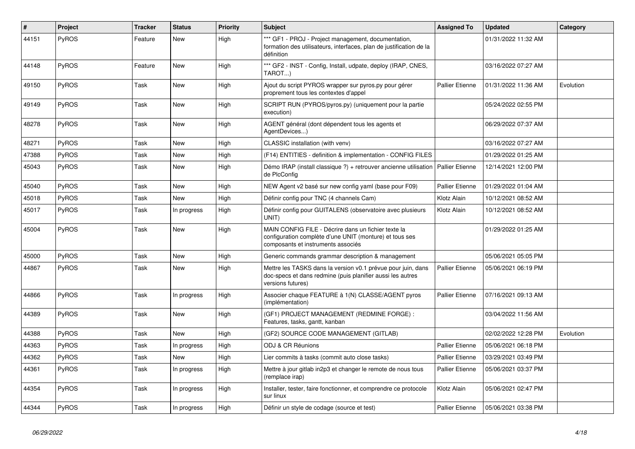| $\vert$ # | Project      | <b>Tracker</b> | <b>Status</b> | <b>Priority</b> | <b>Subject</b>                                                                                                                                       | <b>Assigned To</b>     | <b>Updated</b>      | Category  |
|-----------|--------------|----------------|---------------|-----------------|------------------------------------------------------------------------------------------------------------------------------------------------------|------------------------|---------------------|-----------|
| 44151     | PyROS        | Feature        | New           | High            | *** GF1 - PROJ - Project management, documentation,<br>formation des utilisateurs, interfaces, plan de justification de la<br>définition             |                        | 01/31/2022 11:32 AM |           |
| 44148     | PyROS        | Feature        | New           | High            | *** GF2 - INST - Config, Install, udpate, deploy (IRAP, CNES,<br>TAROT)                                                                              |                        | 03/16/2022 07:27 AM |           |
| 49150     | <b>PyROS</b> | Task           | New           | High            | Ajout du script PYROS wrapper sur pyros.py pour gérer<br>proprement tous les contextes d'appel                                                       | Pallier Etienne        | 01/31/2022 11:36 AM | Evolution |
| 49149     | <b>PyROS</b> | Task           | New           | High            | SCRIPT RUN (PYROS/pyros.py) (uniquement pour la partie<br>execution)                                                                                 |                        | 05/24/2022 02:55 PM |           |
| 48278     | PyROS        | Task           | New           | High            | AGENT général (dont dépendent tous les agents et<br>AgentDevices)                                                                                    |                        | 06/29/2022 07:37 AM |           |
| 48271     | <b>PyROS</b> | Task           | New           | High            | CLASSIC installation (with venv)                                                                                                                     |                        | 03/16/2022 07:27 AM |           |
| 47388     | <b>PyROS</b> | Task           | New           | High            | (F14) ENTITIES - definition & implementation - CONFIG FILES                                                                                          |                        | 01/29/2022 01:25 AM |           |
| 45043     | PyROS        | Task           | New           | High            | Démo IRAP (install classique ?) + retrouver ancienne utilisation<br>de PlcConfig                                                                     | Pallier Etienne        | 12/14/2021 12:00 PM |           |
| 45040     | PyROS        | Task           | New           | High            | NEW Agent v2 basé sur new config yaml (base pour F09)                                                                                                | <b>Pallier Etienne</b> | 01/29/2022 01:04 AM |           |
| 45018     | PyROS        | Task           | <b>New</b>    | High            | Définir config pour TNC (4 channels Cam)                                                                                                             | Klotz Alain            | 10/12/2021 08:52 AM |           |
| 45017     | PyROS        | Task           | In progress   | High            | Définir config pour GUITALENS (observatoire avec plusieurs<br>UNIT)                                                                                  | Klotz Alain            | 10/12/2021 08:52 AM |           |
| 45004     | PyROS        | Task           | New           | High            | MAIN CONFIG FILE - Décrire dans un fichier texte la<br>configuration complète d'une UNIT (monture) et tous ses<br>composants et instruments associés |                        | 01/29/2022 01:25 AM |           |
| 45000     | PyROS        | Task           | New           | High            | Generic commands grammar description & management                                                                                                    |                        | 05/06/2021 05:05 PM |           |
| 44867     | PyROS        | Task           | New           | High            | Mettre les TASKS dans la version v0.1 prévue pour juin, dans<br>doc-specs et dans redmine (puis planifier aussi les autres<br>versions futures)      | Pallier Etienne        | 05/06/2021 06:19 PM |           |
| 44866     | PyROS        | Task           | In progress   | High            | Associer chaque FEATURE à 1(N) CLASSE/AGENT pyros<br>(implémentation)                                                                                | Pallier Etienne        | 07/16/2021 09:13 AM |           |
| 44389     | <b>PyROS</b> | Task           | <b>New</b>    | High            | (GF1) PROJECT MANAGEMENT (REDMINE FORGE):<br>Features, tasks, gantt, kanban                                                                          |                        | 03/04/2022 11:56 AM |           |
| 44388     | PyROS        | Task           | New           | High            | (GF2) SOURCE CODE MANAGEMENT (GITLAB)                                                                                                                |                        | 02/02/2022 12:28 PM | Evolution |
| 44363     | PyROS        | Task           | In progress   | High            | ODJ & CR Réunions                                                                                                                                    | Pallier Etienne        | 05/06/2021 06:18 PM |           |
| 44362     | PyROS        | Task           | New           | High            | Lier commits à tasks (commit auto close tasks)                                                                                                       | Pallier Etienne        | 03/29/2021 03:49 PM |           |
| 44361     | <b>PyROS</b> | Task           | In progress   | High            | Mettre à jour gitlab in2p3 et changer le remote de nous tous<br>(remplace irap)                                                                      | Pallier Etienne        | 05/06/2021 03:37 PM |           |
| 44354     | PyROS        | Task           | In progress   | High            | Installer, tester, faire fonctionner, et comprendre ce protocole<br>sur linux                                                                        | Klotz Alain            | 05/06/2021 02:47 PM |           |
| 44344     | PyROS        | Task           | In progress   | High            | Définir un style de codage (source et test)                                                                                                          | Pallier Etienne        | 05/06/2021 03:38 PM |           |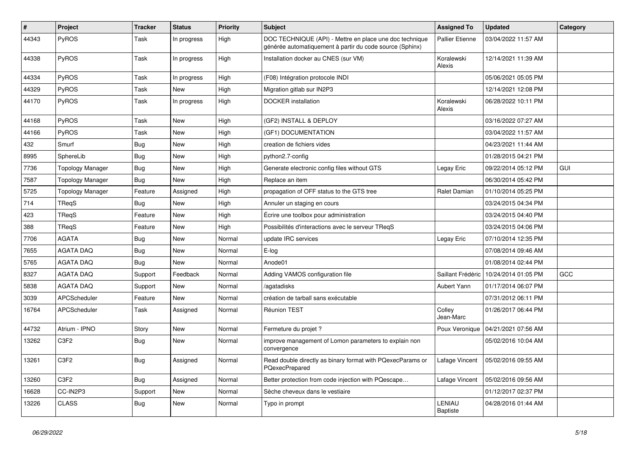| #     | Project                       | <b>Tracker</b> | <b>Status</b> | <b>Priority</b> | <b>Subject</b>                                                                                                      | <b>Assigned To</b>     | <b>Updated</b>      | Category |
|-------|-------------------------------|----------------|---------------|-----------------|---------------------------------------------------------------------------------------------------------------------|------------------------|---------------------|----------|
| 44343 | PyROS                         | Task           | In progress   | High            | DOC TECHNIQUE (API) - Mettre en place une doc technique<br>générée automatiquement à partir du code source (Sphinx) | <b>Pallier Etienne</b> | 03/04/2022 11:57 AM |          |
| 44338 | PyROS                         | Task           | In progress   | High            | Installation docker au CNES (sur VM)                                                                                | Koralewski<br>Alexis   | 12/14/2021 11:39 AM |          |
| 44334 | PyROS                         | Task           | In progress   | High            | (F08) Intégration protocole INDI                                                                                    |                        | 05/06/2021 05:05 PM |          |
| 44329 | PyROS                         | Task           | New           | High            | Migration gitlab sur IN2P3                                                                                          |                        | 12/14/2021 12:08 PM |          |
| 44170 | PyROS                         | Task           | In progress   | High            | DOCKER installation                                                                                                 | Koralewski<br>Alexis   | 06/28/2022 10:11 PM |          |
| 44168 | PyROS                         | Task           | <b>New</b>    | High            | (GF2) INSTALL & DEPLOY                                                                                              |                        | 03/16/2022 07:27 AM |          |
| 44166 | PyROS                         | Task           | <b>New</b>    | High            | (GF1) DOCUMENTATION                                                                                                 |                        | 03/04/2022 11:57 AM |          |
| 432   | Smurf                         | <b>Bug</b>     | New           | High            | creation de fichiers vides                                                                                          |                        | 04/23/2021 11:44 AM |          |
| 8995  | SphereLib                     | <b>Bug</b>     | <b>New</b>    | High            | python2.7-config                                                                                                    |                        | 01/28/2015 04:21 PM |          |
| 7736  | <b>Topology Manager</b>       | <b>Bug</b>     | <b>New</b>    | High            | Generate electronic config files without GTS                                                                        | Legay Eric             | 09/22/2014 05:12 PM | GUI      |
| 7587  | <b>Topology Manager</b>       | Bug            | New           | High            | Replace an item                                                                                                     |                        | 06/30/2014 05:42 PM |          |
| 5725  | <b>Topology Manager</b>       | Feature        | Assigned      | High            | propagation of OFF status to the GTS tree                                                                           | <b>Ralet Damian</b>    | 01/10/2014 05:25 PM |          |
| 714   | TReqS                         | <b>Bug</b>     | New           | High            | Annuler un staging en cours                                                                                         |                        | 03/24/2015 04:34 PM |          |
| 423   | TReqS                         | Feature        | New           | High            | Écrire une toolbox pour administration                                                                              |                        | 03/24/2015 04:40 PM |          |
| 388   | TReqS                         | Feature        | <b>New</b>    | High            | Possibilités d'interactions avec le serveur TReqS                                                                   |                        | 03/24/2015 04:06 PM |          |
| 7706  | <b>AGATA</b>                  | <b>Bug</b>     | New           | Normal          | update IRC services                                                                                                 | Legay Eric             | 07/10/2014 12:35 PM |          |
| 7655  | <b>AGATA DAQ</b>              | <b>Bug</b>     | New           | Normal          | E-log                                                                                                               |                        | 07/08/2014 09:46 AM |          |
| 5765  | <b>AGATA DAQ</b>              | <b>Bug</b>     | New           | Normal          | Anode01                                                                                                             |                        | 01/08/2014 02:44 PM |          |
| 8327  | <b>AGATA DAQ</b>              | Support        | Feedback      | Normal          | Adding VAMOS configuration file                                                                                     | Saillant Frédéric      | 10/24/2014 01:05 PM | GCC      |
| 5838  | <b>AGATA DAQ</b>              | Support        | New           | Normal          | /agatadisks                                                                                                         | Aubert Yann            | 01/17/2014 06:07 PM |          |
| 3039  | APCScheduler                  | Feature        | <b>New</b>    | Normal          | création de tarball sans exécutable                                                                                 |                        | 07/31/2012 06:11 PM |          |
| 16764 | APCScheduler                  | Task           | Assigned      | Normal          | <b>Réunion TEST</b>                                                                                                 | Colley<br>Jean-Marc    | 01/26/2017 06:44 PM |          |
| 44732 | Atrium - IPNO                 | Story          | New           | Normal          | Fermeture du projet ?                                                                                               | Poux Veronique         | 04/21/2021 07:56 AM |          |
| 13262 | C <sub>3</sub> F <sub>2</sub> | <b>Bug</b>     | New           | Normal          | improve management of Lomon parameters to explain non<br>convergence                                                |                        | 05/02/2016 10:04 AM |          |
| 13261 | C3F2                          | <b>Bug</b>     | Assigned      | Normal          | Read double directly as binary format with PQexecParams or<br>PQexecPrepared                                        | Lafage Vincent         | 05/02/2016 09:55 AM |          |
| 13260 | C3F2                          | <b>Bug</b>     | Assigned      | Normal          | Better protection from code injection with PQescape                                                                 | Lafage Vincent         | 05/02/2016 09:56 AM |          |
| 16628 | CC-IN2P3                      | Support        | New           | Normal          | Sèche cheveux dans le vestiaire                                                                                     |                        | 01/12/2017 02:37 PM |          |
| 13226 | <b>CLASS</b>                  | <b>Bug</b>     | New           | Normal          | Typo in prompt                                                                                                      | LENIAU<br>Baptiste     | 04/28/2016 01:44 AM |          |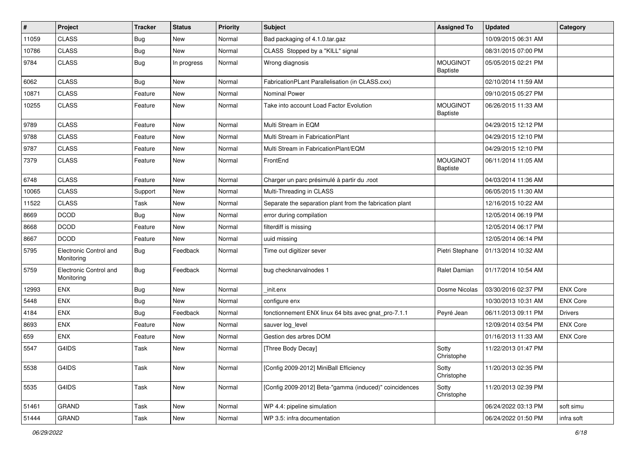| $\vert$ # | Project                              | <b>Tracker</b> | <b>Status</b> | <b>Priority</b> | <b>Subject</b>                                           | <b>Assigned To</b>          | <b>Updated</b>      | Category        |
|-----------|--------------------------------------|----------------|---------------|-----------------|----------------------------------------------------------|-----------------------------|---------------------|-----------------|
| 11059     | <b>CLASS</b>                         | <b>Bug</b>     | <b>New</b>    | Normal          | Bad packaging of 4.1.0.tar.gaz                           |                             | 10/09/2015 06:31 AM |                 |
| 10786     | <b>CLASS</b>                         | Bug            | <b>New</b>    | Normal          | CLASS Stopped by a "KILL" signal                         |                             | 08/31/2015 07:00 PM |                 |
| 9784      | <b>CLASS</b>                         | Bug            | In progress   | Normal          | Wrong diagnosis                                          | <b>MOUGINOT</b><br>Baptiste | 05/05/2015 02:21 PM |                 |
| 6062      | <b>CLASS</b>                         | Bug            | <b>New</b>    | Normal          | FabricationPLant Parallelisation (in CLASS.cxx)          |                             | 02/10/2014 11:59 AM |                 |
| 10871     | <b>CLASS</b>                         | Feature        | New           | Normal          | Nominal Power                                            |                             | 09/10/2015 05:27 PM |                 |
| 10255     | <b>CLASS</b>                         | Feature        | New           | Normal          | Take into account Load Factor Evolution                  | <b>MOUGINOT</b><br>Baptiste | 06/26/2015 11:33 AM |                 |
| 9789      | <b>CLASS</b>                         | Feature        | New           | Normal          | Multi Stream in EQM                                      |                             | 04/29/2015 12:12 PM |                 |
| 9788      | <b>CLASS</b>                         | Feature        | New           | Normal          | Multi Stream in FabricationPlant                         |                             | 04/29/2015 12:10 PM |                 |
| 9787      | <b>CLASS</b>                         | Feature        | New           | Normal          | Multi Stream in FabricationPlant/EQM                     |                             | 04/29/2015 12:10 PM |                 |
| 7379      | <b>CLASS</b>                         | Feature        | New           | Normal          | FrontEnd                                                 | <b>MOUGINOT</b><br>Baptiste | 06/11/2014 11:05 AM |                 |
| 6748      | <b>CLASS</b>                         | Feature        | New           | Normal          | Charger un parc présimulé à partir du .root              |                             | 04/03/2014 11:36 AM |                 |
| 10065     | <b>CLASS</b>                         | Support        | <b>New</b>    | Normal          | Multi-Threading in CLASS                                 |                             | 06/05/2015 11:30 AM |                 |
| 11522     | <b>CLASS</b>                         | Task           | New           | Normal          | Separate the separation plant from the fabrication plant |                             | 12/16/2015 10:22 AM |                 |
| 8669      | <b>DCOD</b>                          | Bug            | <b>New</b>    | Normal          | error during compilation                                 |                             | 12/05/2014 06:19 PM |                 |
| 8668      | <b>DCOD</b>                          | Feature        | <b>New</b>    | Normal          | filterdiff is missing                                    |                             | 12/05/2014 06:17 PM |                 |
| 8667      | <b>DCOD</b>                          | Feature        | <b>New</b>    | Normal          | uuid missing                                             |                             | 12/05/2014 06:14 PM |                 |
| 5795      | Electronic Control and<br>Monitoring | Bug            | Feedback      | Normal          | Time out digitizer sever                                 | Pietri Stephane             | 01/13/2014 10:32 AM |                 |
| 5759      | Electronic Control and<br>Monitoring | Bug            | Feedback      | Normal          | bug checknarvalnodes 1                                   | Ralet Damian                | 01/17/2014 10:54 AM |                 |
| 12993     | <b>ENX</b>                           | Bug            | New           | Normal          | init.enx                                                 | Dosme Nicolas               | 03/30/2016 02:37 PM | <b>ENX Core</b> |
| 5448      | <b>ENX</b>                           | <b>Bug</b>     | <b>New</b>    | Normal          | configure enx                                            |                             | 10/30/2013 10:31 AM | <b>ENX Core</b> |
| 4184      | <b>ENX</b>                           | Bug            | Feedback      | Normal          | fonctionnement ENX linux 64 bits avec gnat_pro-7.1.1     | Peyré Jean                  | 06/11/2013 09:11 PM | <b>Drivers</b>  |
| 8693      | <b>ENX</b>                           | Feature        | <b>New</b>    | Normal          | sauver log_level                                         |                             | 12/09/2014 03:54 PM | <b>ENX Core</b> |
| 659       | ENX                                  | Feature        | <b>New</b>    | Normal          | Gestion des arbres DOM                                   |                             | 01/16/2013 11:33 AM | <b>ENX Core</b> |
| 5547      | G4IDS                                | Task           | <b>New</b>    | Normal          | [Three Body Decay]                                       | Sotty<br>Christophe         | 11/22/2013 01:47 PM |                 |
| 5538      | G4IDS                                | Task           | New           | Normal          | [Config 2009-2012] MiniBall Efficiency                   | Sotty<br>Christophe         | 11/20/2013 02:35 PM |                 |
| 5535      | G4IDS                                | Task           | New           | Normal          | [Config 2009-2012] Beta-"gamma (induced)" coincidences   | Sotty<br>Christophe         | 11/20/2013 02:39 PM |                 |
| 51461     | GRAND                                | Task           | New           | Normal          | WP 4.4: pipeline simulation                              |                             | 06/24/2022 03:13 PM | soft simu       |
| 51444     | GRAND                                | Task           | New           | Normal          | WP 3.5: infra documentation                              |                             | 06/24/2022 01:50 PM | infra soft      |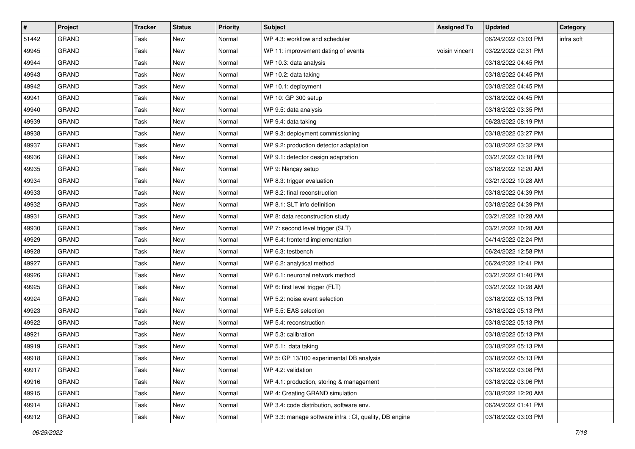| $\sharp$ | <b>Project</b> | <b>Tracker</b> | <b>Status</b> | <b>Priority</b> | <b>Subject</b>                                         | <b>Assigned To</b> | <b>Updated</b>      | Category   |
|----------|----------------|----------------|---------------|-----------------|--------------------------------------------------------|--------------------|---------------------|------------|
| 51442    | <b>GRAND</b>   | Task           | New           | Normal          | WP 4.3: workflow and scheduler                         |                    | 06/24/2022 03:03 PM | infra soft |
| 49945    | <b>GRAND</b>   | Task           | New           | Normal          | WP 11: improvement dating of events                    | voisin vincent     | 03/22/2022 02:31 PM |            |
| 49944    | <b>GRAND</b>   | Task           | New           | Normal          | WP 10.3: data analysis                                 |                    | 03/18/2022 04:45 PM |            |
| 49943    | <b>GRAND</b>   | Task           | New           | Normal          | WP 10.2: data taking                                   |                    | 03/18/2022 04:45 PM |            |
| 49942    | <b>GRAND</b>   | Task           | New           | Normal          | WP 10.1: deployment                                    |                    | 03/18/2022 04:45 PM |            |
| 49941    | <b>GRAND</b>   | Task           | New           | Normal          | WP 10: GP 300 setup                                    |                    | 03/18/2022 04:45 PM |            |
| 49940    | <b>GRAND</b>   | Task           | <b>New</b>    | Normal          | WP 9.5: data analysis                                  |                    | 03/18/2022 03:35 PM |            |
| 49939    | <b>GRAND</b>   | Task           | New           | Normal          | WP 9.4: data taking                                    |                    | 06/23/2022 08:19 PM |            |
| 49938    | <b>GRAND</b>   | Task           | New           | Normal          | WP 9.3: deployment commissioning                       |                    | 03/18/2022 03:27 PM |            |
| 49937    | <b>GRAND</b>   | Task           | New           | Normal          | WP 9.2: production detector adaptation                 |                    | 03/18/2022 03:32 PM |            |
| 49936    | <b>GRAND</b>   | Task           | New           | Normal          | WP 9.1: detector design adaptation                     |                    | 03/21/2022 03:18 PM |            |
| 49935    | <b>GRAND</b>   | Task           | New           | Normal          | WP 9: Nançay setup                                     |                    | 03/18/2022 12:20 AM |            |
| 49934    | <b>GRAND</b>   | Task           | New           | Normal          | WP 8.3: trigger evaluation                             |                    | 03/21/2022 10:28 AM |            |
| 49933    | <b>GRAND</b>   | Task           | <b>New</b>    | Normal          | WP 8.2: final reconstruction                           |                    | 03/18/2022 04:39 PM |            |
| 49932    | <b>GRAND</b>   | Task           | New           | Normal          | WP 8.1: SLT info definition                            |                    | 03/18/2022 04:39 PM |            |
| 49931    | <b>GRAND</b>   | Task           | New           | Normal          | WP 8: data reconstruction study                        |                    | 03/21/2022 10:28 AM |            |
| 49930    | <b>GRAND</b>   | Task           | New           | Normal          | WP 7: second level trigger (SLT)                       |                    | 03/21/2022 10:28 AM |            |
| 49929    | <b>GRAND</b>   | Task           | New           | Normal          | WP 6.4: frontend implementation                        |                    | 04/14/2022 02:24 PM |            |
| 49928    | <b>GRAND</b>   | Task           | New           | Normal          | WP 6.3: testbench                                      |                    | 06/24/2022 12:58 PM |            |
| 49927    | <b>GRAND</b>   | Task           | New           | Normal          | WP 6.2: analytical method                              |                    | 06/24/2022 12:41 PM |            |
| 49926    | <b>GRAND</b>   | Task           | New           | Normal          | WP 6.1: neuronal network method                        |                    | 03/21/2022 01:40 PM |            |
| 49925    | <b>GRAND</b>   | Task           | New           | Normal          | WP 6: first level trigger (FLT)                        |                    | 03/21/2022 10:28 AM |            |
| 49924    | <b>GRAND</b>   | Task           | New           | Normal          | WP 5.2: noise event selection                          |                    | 03/18/2022 05:13 PM |            |
| 49923    | <b>GRAND</b>   | Task           | New           | Normal          | WP 5.5: EAS selection                                  |                    | 03/18/2022 05:13 PM |            |
| 49922    | <b>GRAND</b>   | Task           | <b>New</b>    | Normal          | WP 5.4: reconstruction                                 |                    | 03/18/2022 05:13 PM |            |
| 49921    | <b>GRAND</b>   | Task           | New           | Normal          | WP 5.3: calibration                                    |                    | 03/18/2022 05:13 PM |            |
| 49919    | <b>GRAND</b>   | Task           | <b>New</b>    | Normal          | WP 5.1: data taking                                    |                    | 03/18/2022 05:13 PM |            |
| 49918    | GRAND          | Task           | New           | Normal          | WP 5: GP 13/100 experimental DB analysis               |                    | 03/18/2022 05:13 PM |            |
| 49917    | GRAND          | Task           | New           | Normal          | WP 4.2: validation                                     |                    | 03/18/2022 03:08 PM |            |
| 49916    | <b>GRAND</b>   | Task           | New           | Normal          | WP 4.1: production, storing & management               |                    | 03/18/2022 03:06 PM |            |
| 49915    | GRAND          | Task           | New           | Normal          | WP 4: Creating GRAND simulation                        |                    | 03/18/2022 12:20 AM |            |
| 49914    | GRAND          | Task           | New           | Normal          | WP 3.4: code distribution, software env.               |                    | 06/24/2022 01:41 PM |            |
| 49912    | GRAND          | Task           | New           | Normal          | WP 3.3: manage software infra : CI, quality, DB engine |                    | 03/18/2022 03:03 PM |            |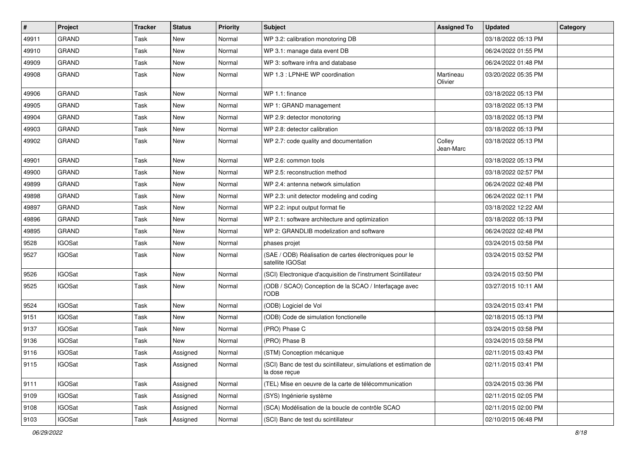| $\sharp$ | Project       | <b>Tracker</b> | <b>Status</b> | <b>Priority</b> | <b>Subject</b>                                                                     | <b>Assigned To</b>   | <b>Updated</b>      | Category |
|----------|---------------|----------------|---------------|-----------------|------------------------------------------------------------------------------------|----------------------|---------------------|----------|
| 49911    | <b>GRAND</b>  | Task           | <b>New</b>    | Normal          | WP 3.2: calibration monotoring DB                                                  |                      | 03/18/2022 05:13 PM |          |
| 49910    | <b>GRAND</b>  | Task           | <b>New</b>    | Normal          | WP 3.1: manage data event DB                                                       |                      | 06/24/2022 01:55 PM |          |
| 49909    | <b>GRAND</b>  | Task           | New           | Normal          | WP 3: software infra and database                                                  |                      | 06/24/2022 01:48 PM |          |
| 49908    | <b>GRAND</b>  | Task           | New           | Normal          | WP 1.3 : LPNHE WP coordination                                                     | Martineau<br>Olivier | 03/20/2022 05:35 PM |          |
| 49906    | <b>GRAND</b>  | Task           | <b>New</b>    | Normal          | WP 1.1: finance                                                                    |                      | 03/18/2022 05:13 PM |          |
| 49905    | <b>GRAND</b>  | Task           | <b>New</b>    | Normal          | WP 1: GRAND management                                                             |                      | 03/18/2022 05:13 PM |          |
| 49904    | <b>GRAND</b>  | Task           | New           | Normal          | WP 2.9: detector monotoring                                                        |                      | 03/18/2022 05:13 PM |          |
| 49903    | <b>GRAND</b>  | Task           | <b>New</b>    | Normal          | WP 2.8: detector calibration                                                       |                      | 03/18/2022 05:13 PM |          |
| 49902    | <b>GRAND</b>  | Task           | <b>New</b>    | Normal          | WP 2.7: code quality and documentation                                             | Colley<br>Jean-Marc  | 03/18/2022 05:13 PM |          |
| 49901    | <b>GRAND</b>  | Task           | <b>New</b>    | Normal          | WP 2.6: common tools                                                               |                      | 03/18/2022 05:13 PM |          |
| 49900    | <b>GRAND</b>  | Task           | <b>New</b>    | Normal          | WP 2.5: reconstruction method                                                      |                      | 03/18/2022 02:57 PM |          |
| 49899    | <b>GRAND</b>  | Task           | <b>New</b>    | Normal          | WP 2.4: antenna network simulation                                                 |                      | 06/24/2022 02:48 PM |          |
| 49898    | <b>GRAND</b>  | Task           | <b>New</b>    | Normal          | WP 2.3: unit detector modeling and coding                                          |                      | 06/24/2022 02:11 PM |          |
| 49897    | <b>GRAND</b>  | Task           | New           | Normal          | WP 2.2: input output format fie                                                    |                      | 03/18/2022 12:22 AM |          |
| 49896    | <b>GRAND</b>  | Task           | <b>New</b>    | Normal          | WP 2.1: software architecture and optimization                                     |                      | 03/18/2022 05:13 PM |          |
| 49895    | <b>GRAND</b>  | Task           | <b>New</b>    | Normal          | WP 2: GRANDLIB modelization and software                                           |                      | 06/24/2022 02:48 PM |          |
| 9528     | <b>IGOSat</b> | Task           | New           | Normal          | phases projet                                                                      |                      | 03/24/2015 03:58 PM |          |
| 9527     | <b>IGOSat</b> | Task           | New           | Normal          | (SAE / ODB) Réalisation de cartes électroniques pour le<br>satellite IGOSat        |                      | 03/24/2015 03:52 PM |          |
| 9526     | <b>IGOSat</b> | Task           | New           | Normal          | (SCI) Electronique d'acquisition de l'instrument Scintillateur                     |                      | 03/24/2015 03:50 PM |          |
| 9525     | <b>IGOSat</b> | Task           | New           | Normal          | (ODB / SCAO) Conception de la SCAO / Interfaçage avec<br><b>I'ODB</b>              |                      | 03/27/2015 10:11 AM |          |
| 9524     | <b>IGOSat</b> | Task           | <b>New</b>    | Normal          | (ODB) Logiciel de Vol                                                              |                      | 03/24/2015 03:41 PM |          |
| 9151     | <b>IGOSat</b> | Task           | <b>New</b>    | Normal          | (ODB) Code de simulation fonctionelle                                              |                      | 02/18/2015 05:13 PM |          |
| 9137     | <b>IGOSat</b> | Task           | <b>New</b>    | Normal          | (PRO) Phase C                                                                      |                      | 03/24/2015 03:58 PM |          |
| 9136     | <b>IGOSat</b> | Task           | New           | Normal          | (PRO) Phase B                                                                      |                      | 03/24/2015 03:58 PM |          |
| 9116     | <b>IGOSat</b> | Task           | Assigned      | Normal          | (STM) Conception mécanique                                                         |                      | 02/11/2015 03:43 PM |          |
| 9115     | <b>IGOSat</b> | Task           | Assigned      | Normal          | (SCI) Banc de test du scintillateur, simulations et estimation de<br>la dose recue |                      | 02/11/2015 03:41 PM |          |
| 9111     | <b>IGOSat</b> | Task           | Assigned      | Normal          | (TEL) Mise en oeuvre de la carte de télécommunication                              |                      | 03/24/2015 03:36 PM |          |
| 9109     | <b>IGOSat</b> | Task           | Assigned      | Normal          | (SYS) Ingénierie système                                                           |                      | 02/11/2015 02:05 PM |          |
| 9108     | <b>IGOSat</b> | Task           | Assigned      | Normal          | (SCA) Modélisation de la boucle de contrôle SCAO                                   |                      | 02/11/2015 02:00 PM |          |
| 9103     | <b>IGOSat</b> | Task           | Assigned      | Normal          | (SCI) Banc de test du scintillateur                                                |                      | 02/10/2015 06:48 PM |          |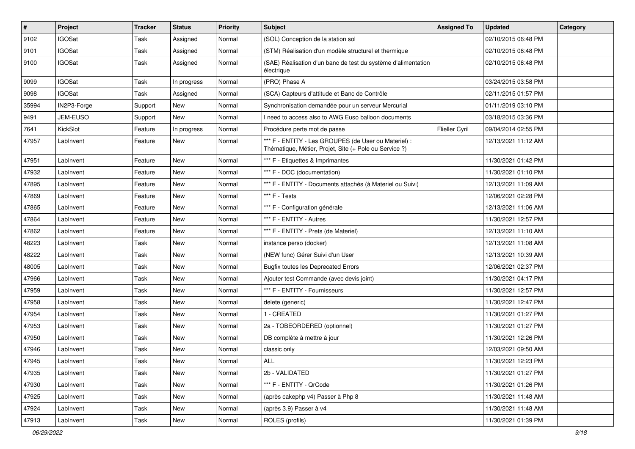| $\vert$ # | Project       | <b>Tracker</b> | <b>Status</b> | <b>Priority</b> | <b>Subject</b>                                                                                                 | <b>Assigned To</b> | <b>Updated</b>      | Category |
|-----------|---------------|----------------|---------------|-----------------|----------------------------------------------------------------------------------------------------------------|--------------------|---------------------|----------|
| 9102      | <b>IGOSat</b> | Task           | Assigned      | Normal          | (SOL) Conception de la station sol                                                                             |                    | 02/10/2015 06:48 PM |          |
| 9101      | <b>IGOSat</b> | Task           | Assigned      | Normal          | (STM) Réalisation d'un modèle structurel et thermique                                                          |                    | 02/10/2015 06:48 PM |          |
| 9100      | <b>IGOSat</b> | Task           | Assigned      | Normal          | (SAE) Réalisation d'un banc de test du système d'alimentation<br>électrique                                    |                    | 02/10/2015 06:48 PM |          |
| 9099      | <b>IGOSat</b> | Task           | In progress   | Normal          | (PRO) Phase A                                                                                                  |                    | 03/24/2015 03:58 PM |          |
| 9098      | <b>IGOSat</b> | Task           | Assigned      | Normal          | (SCA) Capteurs d'attitude et Banc de Contrôle                                                                  |                    | 02/11/2015 01:57 PM |          |
| 35994     | IN2P3-Forge   | Support        | New           | Normal          | Synchronisation demandée pour un serveur Mercurial                                                             |                    | 01/11/2019 03:10 PM |          |
| 9491      | JEM-EUSO      | Support        | New           | Normal          | I need to access also to AWG Euso balloon documents                                                            |                    | 03/18/2015 03:36 PM |          |
| 7641      | KickSlot      | Feature        | In progress   | Normal          | Procédure perte mot de passe                                                                                   | Flieller Cyril     | 09/04/2014 02:55 PM |          |
| 47957     | LabInvent     | Feature        | New           | Normal          | *** F - ENTITY - Les GROUPES (de User ou Materiel) :<br>Thématique, Métier, Projet, Site (+ Pole ou Service ?) |                    | 12/13/2021 11:12 AM |          |
| 47951     | LabInvent     | Feature        | <b>New</b>    | Normal          | *** F - Etiquettes & Imprimantes                                                                               |                    | 11/30/2021 01:42 PM |          |
| 47932     | LabInvent     | Feature        | <b>New</b>    | Normal          | *** F - DOC (documentation)                                                                                    |                    | 11/30/2021 01:10 PM |          |
| 47895     | LabInvent     | Feature        | <b>New</b>    | Normal          | *** F - ENTITY - Documents attachés (à Materiel ou Suivi)                                                      |                    | 12/13/2021 11:09 AM |          |
| 47869     | LabInvent     | Feature        | <b>New</b>    | Normal          | *** F - Tests                                                                                                  |                    | 12/06/2021 02:28 PM |          |
| 47865     | LabInvent     | Feature        | New           | Normal          | *** F - Configuration générale                                                                                 |                    | 12/13/2021 11:06 AM |          |
| 47864     | LabInvent     | Feature        | New           | Normal          | *** F - ENTITY - Autres                                                                                        |                    | 11/30/2021 12:57 PM |          |
| 47862     | LabInvent     | Feature        | <b>New</b>    | Normal          | *** F - ENTITY - Prets (de Materiel)                                                                           |                    | 12/13/2021 11:10 AM |          |
| 48223     | LabInvent     | Task           | New           | Normal          | instance perso (docker)                                                                                        |                    | 12/13/2021 11:08 AM |          |
| 48222     | LabInvent     | Task           | <b>New</b>    | Normal          | (NEW func) Gérer Suivi d'un User                                                                               |                    | 12/13/2021 10:39 AM |          |
| 48005     | LabInvent     | Task           | New           | Normal          | <b>Bugfix toutes les Deprecated Errors</b>                                                                     |                    | 12/06/2021 02:37 PM |          |
| 47966     | LabInvent     | Task           | <b>New</b>    | Normal          | Ajouter test Commande (avec devis joint)                                                                       |                    | 11/30/2021 04:17 PM |          |
| 47959     | LabInvent     | Task           | <b>New</b>    | Normal          | *** F - ENTITY - Fournisseurs                                                                                  |                    | 11/30/2021 12:57 PM |          |
| 47958     | LabInvent     | Task           | <b>New</b>    | Normal          | delete (generic)                                                                                               |                    | 11/30/2021 12:47 PM |          |
| 47954     | LabInvent     | Task           | New           | Normal          | 1 - CREATED                                                                                                    |                    | 11/30/2021 01:27 PM |          |
| 47953     | LabInvent     | Task           | <b>New</b>    | Normal          | 2a - TOBEORDERED (optionnel)                                                                                   |                    | 11/30/2021 01:27 PM |          |
| 47950     | LabInvent     | Task           | <b>New</b>    | Normal          | DB complète à mettre à jour                                                                                    |                    | 11/30/2021 12:26 PM |          |
| 47946     | LabInvent     | Task           | <b>New</b>    | Normal          | classic only                                                                                                   |                    | 12/03/2021 09:50 AM |          |
| 47945     | LabInvent     | Task           | New           | Normal          | ALL                                                                                                            |                    | 11/30/2021 12:23 PM |          |
| 47935     | LabInvent     | Task           | New           | Normal          | 2b - VALIDATED                                                                                                 |                    | 11/30/2021 01:27 PM |          |
| 47930     | LabInvent     | Task           | New           | Normal          | *** F - ENTITY - QrCode                                                                                        |                    | 11/30/2021 01:26 PM |          |
| 47925     | LabInvent     | Task           | New           | Normal          | (après cakephp v4) Passer à Php 8                                                                              |                    | 11/30/2021 11:48 AM |          |
| 47924     | LabInvent     | Task           | New           | Normal          | (après 3.9) Passer à v4                                                                                        |                    | 11/30/2021 11:48 AM |          |
| 47913     | LabInvent     | Task           | New           | Normal          | ROLES (profils)                                                                                                |                    | 11/30/2021 01:39 PM |          |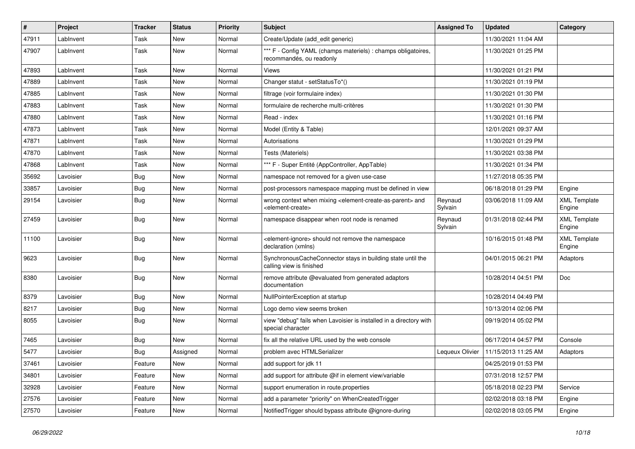| $\sharp$ | Project   | <b>Tracker</b> | <b>Status</b> | <b>Priority</b> | Subject                                                                                                                   | <b>Assigned To</b> | <b>Updated</b>      | Category                      |
|----------|-----------|----------------|---------------|-----------------|---------------------------------------------------------------------------------------------------------------------------|--------------------|---------------------|-------------------------------|
| 47911    | LabInvent | Task           | <b>New</b>    | Normal          | Create/Update (add edit generic)                                                                                          |                    | 11/30/2021 11:04 AM |                               |
| 47907    | LabInvent | Task           | New           | Normal          | *** F - Config YAML (champs materiels) : champs obligatoires,<br>recommandés, ou readonly                                 |                    | 11/30/2021 01:25 PM |                               |
| 47893    | LabInvent | Task           | <b>New</b>    | Normal          | Views                                                                                                                     |                    | 11/30/2021 01:21 PM |                               |
| 47889    | LabInvent | Task           | <b>New</b>    | Normal          | Changer statut - setStatusTo*()                                                                                           |                    | 11/30/2021 01:19 PM |                               |
| 47885    | LabInvent | Task           | New           | Normal          | filtrage (voir formulaire index)                                                                                          |                    | 11/30/2021 01:30 PM |                               |
| 47883    | LabInvent | Task           | <b>New</b>    | Normal          | formulaire de recherche multi-critères                                                                                    |                    | 11/30/2021 01:30 PM |                               |
| 47880    | LabInvent | Task           | <b>New</b>    | Normal          | Read - index                                                                                                              |                    | 11/30/2021 01:16 PM |                               |
| 47873    | LabInvent | Task           | <b>New</b>    | Normal          | Model (Entity & Table)                                                                                                    |                    | 12/01/2021 09:37 AM |                               |
| 47871    | LabInvent | Task           | <b>New</b>    | Normal          | Autorisations                                                                                                             |                    | 11/30/2021 01:29 PM |                               |
| 47870    | LabInvent | Task           | <b>New</b>    | Normal          | Tests (Materiels)                                                                                                         |                    | 11/30/2021 03:38 PM |                               |
| 47868    | LabInvent | Task           | <b>New</b>    | Normal          | *** F - Super Entité (AppController, AppTable)                                                                            |                    | 11/30/2021 01:34 PM |                               |
| 35692    | Lavoisier | <b>Bug</b>     | <b>New</b>    | Normal          | namespace not removed for a given use-case                                                                                |                    | 11/27/2018 05:35 PM |                               |
| 33857    | Lavoisier | <b>Bug</b>     | <b>New</b>    | Normal          | post-processors namespace mapping must be defined in view                                                                 |                    | 06/18/2018 01:29 PM | Engine                        |
| 29154    | Lavoisier | <b>Bug</b>     | <b>New</b>    | Normal          | wrong context when mixing <element-create-as-parent> and<br/><element-create></element-create></element-create-as-parent> | Reynaud<br>Sylvain | 03/06/2018 11:09 AM | <b>XML Template</b><br>Engine |
| 27459    | Lavoisier | Bug            | <b>New</b>    | Normal          | namespace disappear when root node is renamed                                                                             | Reynaud<br>Sylvain | 01/31/2018 02:44 PM | <b>XML Template</b><br>Engine |
| 11100    | Lavoisier | Bug            | <b>New</b>    | Normal          | <element-ignore> should not remove the namespace<br/>declaration (xmlns)</element-ignore>                                 |                    | 10/16/2015 01:48 PM | <b>XML Template</b><br>Engine |
| 9623     | Lavoisier | <b>Bug</b>     | New           | Normal          | SynchronousCacheConnector stays in building state until the<br>calling view is finished                                   |                    | 04/01/2015 06:21 PM | Adaptors                      |
| 8380     | Lavoisier | <b>Bug</b>     | <b>New</b>    | Normal          | remove attribute @evaluated from generated adaptors<br>documentation                                                      |                    | 10/28/2014 04:51 PM | Doc                           |
| 8379     | Lavoisier | <b>Bug</b>     | <b>New</b>    | Normal          | NullPointerException at startup                                                                                           |                    | 10/28/2014 04:49 PM |                               |
| 8217     | Lavoisier | Bug            | <b>New</b>    | Normal          | Logo demo view seems broken                                                                                               |                    | 10/13/2014 02:06 PM |                               |
| 8055     | Lavoisier | Bug            | New           | Normal          | view "debug" fails when Lavoisier is installed in a directory with<br>special character                                   |                    | 09/19/2014 05:02 PM |                               |
| 7465     | Lavoisier | Bug            | <b>New</b>    | Normal          | fix all the relative URL used by the web console                                                                          |                    | 06/17/2014 04:57 PM | Console                       |
| 5477     | Lavoisier | <b>Bug</b>     | Assigned      | Normal          | problem avec HTMLSerializer                                                                                               | Lequeux Olivier    | 11/15/2013 11:25 AM | Adaptors                      |
| 37461    | Lavoisier | Feature        | New           | Normal          | add support for jdk 11                                                                                                    |                    | 04/25/2019 01:53 PM |                               |
| 34801    | Lavoisier | Feature        | New           | Normal          | add support for attribute @if in element view/variable                                                                    |                    | 07/31/2018 12:57 PM |                               |
| 32928    | Lavoisier | Feature        | New           | Normal          | support enumeration in route properties                                                                                   |                    | 05/18/2018 02:23 PM | Service                       |
| 27576    | Lavoisier | Feature        | New           | Normal          | add a parameter "priority" on WhenCreatedTrigger                                                                          |                    | 02/02/2018 03:18 PM | Engine                        |
| 27570    | Lavoisier | Feature        | New           | Normal          | Notified Trigger should bypass attribute @ignore-during                                                                   |                    | 02/02/2018 03:05 PM | Engine                        |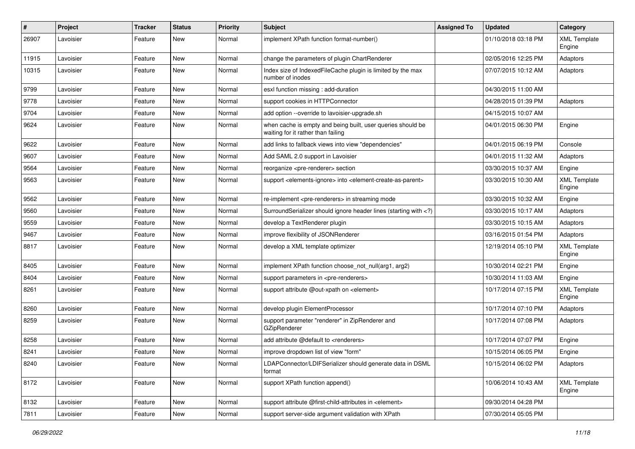| $\pmb{\#}$ | Project   | Tracker | <b>Status</b> | <b>Priority</b> | <b>Subject</b>                                                                                                              | <b>Assigned To</b> | <b>Updated</b>      | Category                      |
|------------|-----------|---------|---------------|-----------------|-----------------------------------------------------------------------------------------------------------------------------|--------------------|---------------------|-------------------------------|
| 26907      | Lavoisier | Feature | New           | Normal          | implement XPath function format-number()                                                                                    |                    | 01/10/2018 03:18 PM | <b>XML Template</b><br>Engine |
| 11915      | Lavoisier | Feature | <b>New</b>    | Normal          | change the parameters of plugin ChartRenderer                                                                               |                    | 02/05/2016 12:25 PM | Adaptors                      |
| 10315      | Lavoisier | Feature | <b>New</b>    | Normal          | Index size of IndexedFileCache plugin is limited by the max<br>number of inodes                                             |                    | 07/07/2015 10:12 AM | Adaptors                      |
| 9799       | Lavoisier | Feature | <b>New</b>    | Normal          | esxl function missing : add-duration                                                                                        |                    | 04/30/2015 11:00 AM |                               |
| 9778       | Lavoisier | Feature | <b>New</b>    | Normal          | support cookies in HTTPConnector                                                                                            |                    | 04/28/2015 01:39 PM | Adaptors                      |
| 9704       | Lavoisier | Feature | New           | Normal          | add option --override to lavoisier-upgrade.sh                                                                               |                    | 04/15/2015 10:07 AM |                               |
| 9624       | Lavoisier | Feature | <b>New</b>    | Normal          | when cache is empty and being built, user queries should be<br>waiting for it rather than failing                           |                    | 04/01/2015 06:30 PM | Engine                        |
| 9622       | Lavoisier | Feature | <b>New</b>    | Normal          | add links to fallback views into view "dependencies"                                                                        |                    | 04/01/2015 06:19 PM | Console                       |
| 9607       | Lavoisier | Feature | <b>New</b>    | Normal          | Add SAML 2.0 support in Lavoisier                                                                                           |                    | 04/01/2015 11:32 AM | Adaptors                      |
| 9564       | Lavoisier | Feature | New           | Normal          | reorganize <pre-renderer> section</pre-renderer>                                                                            |                    | 03/30/2015 10:37 AM | Engine                        |
| 9563       | Lavoisier | Feature | <b>New</b>    | Normal          | support <elements-ignore> into <element-create-as-parent></element-create-as-parent></elements-ignore>                      |                    | 03/30/2015 10:30 AM | <b>XML Template</b><br>Engine |
| 9562       | Lavoisier | Feature | <b>New</b>    | Normal          | re-implement <pre-renderers> in streaming mode</pre-renderers>                                                              |                    | 03/30/2015 10:32 AM | Engine                        |
| 9560       | Lavoisier | Feature | <b>New</b>    | Normal          | SurroundSerializer should ignore header lines (starting with )</td <td></td> <td>03/30/2015 10:17 AM</td> <td>Adaptors</td> |                    | 03/30/2015 10:17 AM | Adaptors                      |
| 9559       | Lavoisier | Feature | <b>New</b>    | Normal          | develop a TextRenderer plugin                                                                                               |                    | 03/30/2015 10:15 AM | Adaptors                      |
| 9467       | Lavoisier | Feature | New           | Normal          | improve flexibility of JSONRenderer                                                                                         |                    | 03/16/2015 01:54 PM | Adaptors                      |
| 8817       | Lavoisier | Feature | <b>New</b>    | Normal          | develop a XML template optimizer                                                                                            |                    | 12/19/2014 05:10 PM | <b>XML Template</b><br>Engine |
| 8405       | Lavoisier | Feature | <b>New</b>    | Normal          | implement XPath function choose_not_null(arg1, arg2)                                                                        |                    | 10/30/2014 02:21 PM | Engine                        |
| 8404       | Lavoisier | Feature | <b>New</b>    | Normal          | support parameters in <pre-renderers></pre-renderers>                                                                       |                    | 10/30/2014 11:03 AM | Engine                        |
| 8261       | Lavoisier | Feature | New           | Normal          | support attribute @out-xpath on <element></element>                                                                         |                    | 10/17/2014 07:15 PM | <b>XML Template</b><br>Engine |
| 8260       | Lavoisier | Feature | <b>New</b>    | Normal          | develop plugin ElementProcessor                                                                                             |                    | 10/17/2014 07:10 PM | Adaptors                      |
| 8259       | Lavoisier | Feature | New           | Normal          | support parameter "renderer" in ZipRenderer and<br>GZipRenderer                                                             |                    | 10/17/2014 07:08 PM | Adaptors                      |
| 8258       | Lavoisier | Feature | <b>New</b>    | Normal          | add attribute @default to <renderers></renderers>                                                                           |                    | 10/17/2014 07:07 PM | Engine                        |
| 8241       | Lavoisier | Feature | <b>New</b>    | Normal          | improve dropdown list of view "form"                                                                                        |                    | 10/15/2014 06:05 PM | Engine                        |
| 8240       | Lavoisier | Feature | New           | Normal          | LDAPConnector/LDIFSerializer should generate data in DSML<br>format                                                         |                    | 10/15/2014 06:02 PM | Adaptors                      |
| 8172       | Lavoisier | Feature | New           | Normal          | support XPath function append()                                                                                             |                    | 10/06/2014 10:43 AM | <b>XML Template</b><br>Engine |
| 8132       | Lavoisier | Feature | <b>New</b>    | Normal          | support attribute @first-child-attributes in <element></element>                                                            |                    | 09/30/2014 04:28 PM |                               |
| 7811       | Lavoisier | Feature | New           | Normal          | support server-side argument validation with XPath                                                                          |                    | 07/30/2014 05:05 PM |                               |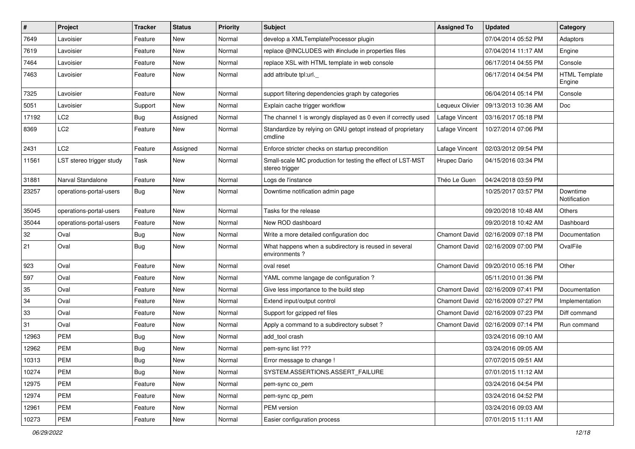| $\pmb{\#}$ | Project                  | Tracker    | <b>Status</b> | <b>Priority</b> | Subject                                                                       | <b>Assigned To</b>   | Updated             | Category                       |
|------------|--------------------------|------------|---------------|-----------------|-------------------------------------------------------------------------------|----------------------|---------------------|--------------------------------|
| 7649       | Lavoisier                | Feature    | <b>New</b>    | Normal          | develop a XMLTemplateProcessor plugin                                         |                      | 07/04/2014 05:52 PM | Adaptors                       |
| 7619       | Lavoisier                | Feature    | <b>New</b>    | Normal          | replace @INCLUDES with #include in properties files                           |                      | 07/04/2014 11:17 AM | Engine                         |
| 7464       | Lavoisier                | Feature    | New           | Normal          | replace XSL with HTML template in web console                                 |                      | 06/17/2014 04:55 PM | Console                        |
| 7463       | Lavoisier                | Feature    | New           | Normal          | add attribute tpl:url.                                                        |                      | 06/17/2014 04:54 PM | <b>HTML Template</b><br>Engine |
| 7325       | Lavoisier                | Feature    | <b>New</b>    | Normal          | support filtering dependencies graph by categories                            |                      | 06/04/2014 05:14 PM | Console                        |
| 5051       | Lavoisier                | Support    | New           | Normal          | Explain cache trigger workflow                                                | Lequeux Olivier      | 09/13/2013 10:36 AM | Doc                            |
| 17192      | LC <sub>2</sub>          | <b>Bug</b> | Assigned      | Normal          | The channel 1 is wrongly displayed as 0 even if correctly used                | Lafage Vincent       | 03/16/2017 05:18 PM |                                |
| 8369       | LC <sub>2</sub>          | Feature    | New           | Normal          | Standardize by relying on GNU getopt instead of proprietary<br>cmdline        | Lafage Vincent       | 10/27/2014 07:06 PM |                                |
| 2431       | LC <sub>2</sub>          | Feature    | Assigned      | Normal          | Enforce stricter checks on startup precondition                               | Lafage Vincent       | 02/03/2012 09:54 PM |                                |
| 11561      | LST stereo trigger study | Task       | New           | Normal          | Small-scale MC production for testing the effect of LST-MST<br>stereo trigger | Hrupec Dario         | 04/15/2016 03:34 PM |                                |
| 31881      | Narval Standalone        | Feature    | New           | Normal          | Logs de l'instance                                                            | Théo Le Guen         | 04/24/2018 03:59 PM |                                |
| 23257      | operations-portal-users  | Bug        | New           | Normal          | Downtime notification admin page                                              |                      | 10/25/2017 03:57 PM | Downtime<br>Notification       |
| 35045      | operations-portal-users  | Feature    | <b>New</b>    | Normal          | Tasks for the release                                                         |                      | 09/20/2018 10:48 AM | Others                         |
| 35044      | operations-portal-users  | Feature    | <b>New</b>    | Normal          | New ROD dashboard                                                             |                      | 09/20/2018 10:42 AM | Dashboard                      |
| 32         | Oval                     | <b>Bug</b> | New           | Normal          | Write a more detailed configuration doc                                       | <b>Chamont David</b> | 02/16/2009 07:18 PM | Documentation                  |
| 21         | Oval                     | <b>Bug</b> | New           | Normal          | What happens when a subdirectory is reused in several<br>environments?        | <b>Chamont David</b> | 02/16/2009 07:00 PM | OvalFile                       |
| 923        | Oval                     | Feature    | New           | Normal          | oval reset                                                                    | <b>Chamont David</b> | 09/20/2010 05:16 PM | Other                          |
| 597        | Oval                     | Feature    | <b>New</b>    | Normal          | YAML comme langage de configuration ?                                         |                      | 05/11/2010 01:36 PM |                                |
| 35         | Oval                     | Feature    | New           | Normal          | Give less importance to the build step                                        | <b>Chamont David</b> | 02/16/2009 07:41 PM | Documentation                  |
| 34         | Oval                     | Feature    | <b>New</b>    | Normal          | Extend input/output control                                                   | <b>Chamont David</b> | 02/16/2009 07:27 PM | Implementation                 |
| 33         | Oval                     | Feature    | <b>New</b>    | Normal          | Support for gzipped ref files                                                 | <b>Chamont David</b> | 02/16/2009 07:23 PM | Diff command                   |
| 31         | Oval                     | Feature    | New           | Normal          | Apply a command to a subdirectory subset?                                     | <b>Chamont David</b> | 02/16/2009 07:14 PM | Run command                    |
| 12963      | <b>PEM</b>               | <b>Bug</b> | <b>New</b>    | Normal          | add tool crash                                                                |                      | 03/24/2016 09:10 AM |                                |
| 12962      | <b>PEM</b>               | Bug        | New           | Normal          | pem-sync list ???                                                             |                      | 03/24/2016 09:05 AM |                                |
| 10313      | PEM                      | <b>Bug</b> | New           | Normal          | Error message to change !                                                     |                      | 07/07/2015 09:51 AM |                                |
| 10274      | <b>PEM</b>               | <b>Bug</b> | New           | Normal          | SYSTEM.ASSERTIONS.ASSERT_FAILURE                                              |                      | 07/01/2015 11:12 AM |                                |
| 12975      | PEM                      | Feature    | New           | Normal          | pem-sync co_pem                                                               |                      | 03/24/2016 04:54 PM |                                |
| 12974      | PEM                      | Feature    | New           | Normal          | pem-sync cp_pem                                                               |                      | 03/24/2016 04:52 PM |                                |
| 12961      | <b>PEM</b>               | Feature    | New           | Normal          | PEM version                                                                   |                      | 03/24/2016 09:03 AM |                                |
| 10273      | PEM                      | Feature    | New           | Normal          | Easier configuration process                                                  |                      | 07/01/2015 11:11 AM |                                |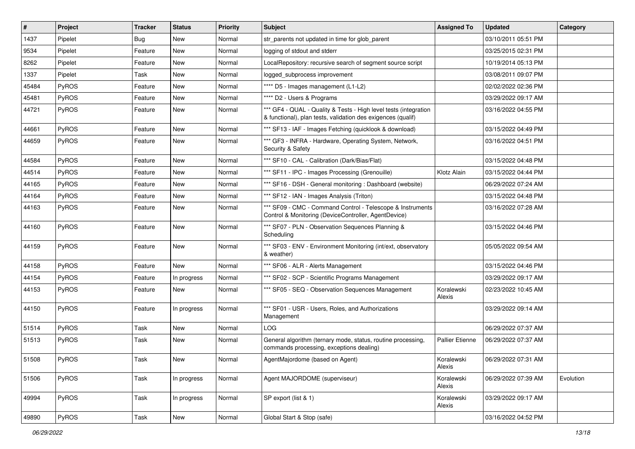| $\vert$ # | Project | <b>Tracker</b> | <b>Status</b> | <b>Priority</b> | <b>Subject</b>                                                                                                                   | <b>Assigned To</b>   | <b>Updated</b>      | Category  |
|-----------|---------|----------------|---------------|-----------------|----------------------------------------------------------------------------------------------------------------------------------|----------------------|---------------------|-----------|
| 1437      | Pipelet | Bug            | New           | Normal          | str_parents not updated in time for glob_parent                                                                                  |                      | 03/10/2011 05:51 PM |           |
| 9534      | Pipelet | Feature        | New           | Normal          | logging of stdout and stderr                                                                                                     |                      | 03/25/2015 02:31 PM |           |
| 8262      | Pipelet | Feature        | New           | Normal          | LocalRepository: recursive search of segment source script                                                                       |                      | 10/19/2014 05:13 PM |           |
| 1337      | Pipelet | Task           | New           | Normal          | logged_subprocess improvement                                                                                                    |                      | 03/08/2011 09:07 PM |           |
| 45484     | PyROS   | Feature        | New           | Normal          | **** D5 - Images management (L1-L2)                                                                                              |                      | 02/02/2022 02:36 PM |           |
| 45481     | PyROS   | Feature        | New           | Normal          | **** D2 - Users & Programs                                                                                                       |                      | 03/29/2022 09:17 AM |           |
| 44721     | PyROS   | Feature        | New           | Normal          | *** GF4 - QUAL - Quality & Tests - High level tests (integration<br>& functional), plan tests, validation des exigences (qualif) |                      | 03/16/2022 04:55 PM |           |
| 44661     | PyROS   | Feature        | New           | Normal          | *** SF13 - IAF - Images Fetching (quicklook & download)                                                                          |                      | 03/15/2022 04:49 PM |           |
| 44659     | PyROS   | Feature        | New           | Normal          | *** GF3 - INFRA - Hardware, Operating System, Network,<br>Security & Safety                                                      |                      | 03/16/2022 04:51 PM |           |
| 44584     | PyROS   | Feature        | New           | Normal          | *** SF10 - CAL - Calibration (Dark/Bias/Flat)                                                                                    |                      | 03/15/2022 04:48 PM |           |
| 44514     | PyROS   | Feature        | New           | Normal          | *** SF11 - IPC - Images Processing (Grenouille)                                                                                  | Klotz Alain          | 03/15/2022 04:44 PM |           |
| 44165     | PyROS   | Feature        | New           | Normal          | *** SF16 - DSH - General monitoring : Dashboard (website)                                                                        |                      | 06/29/2022 07:24 AM |           |
| 44164     | PyROS   | Feature        | New           | Normal          | *** SF12 - IAN - Images Analysis (Triton)                                                                                        |                      | 03/15/2022 04:48 PM |           |
| 44163     | PyROS   | Feature        | New           | Normal          | *** SF09 - CMC - Command Control - Telescope & Instruments<br>Control & Monitoring (DeviceController, AgentDevice)               |                      | 03/16/2022 07:28 AM |           |
| 44160     | PyROS   | Feature        | New           | Normal          | *** SF07 - PLN - Observation Sequences Planning &<br>Scheduling                                                                  |                      | 03/15/2022 04:46 PM |           |
| 44159     | PyROS   | Feature        | New           | Normal          | *** SF03 - ENV - Environment Monitoring (int/ext, observatory<br>& weather)                                                      |                      | 05/05/2022 09:54 AM |           |
| 44158     | PyROS   | Feature        | New           | Normal          | *** SF06 - ALR - Alerts Management                                                                                               |                      | 03/15/2022 04:46 PM |           |
| 44154     | PyROS   | Feature        | In progress   | Normal          | *** SF02 - SCP - Scientific Programs Management                                                                                  |                      | 03/29/2022 09:17 AM |           |
| 44153     | PyROS   | Feature        | New           | Normal          | *** SF05 - SEQ - Observation Sequences Management                                                                                | Koralewski<br>Alexis | 02/23/2022 10:45 AM |           |
| 44150     | PyROS   | Feature        | In progress   | Normal          | *** SF01 - USR - Users, Roles, and Authorizations<br>Management                                                                  |                      | 03/29/2022 09:14 AM |           |
| 51514     | PyROS   | Task           | New           | Normal          | <b>LOG</b>                                                                                                                       |                      | 06/29/2022 07:37 AM |           |
| 51513     | PyROS   | Task           | New           | Normal          | General algorithm (ternary mode, status, routine processing,<br>commands processing, exceptions dealing)                         | Pallier Etienne      | 06/29/2022 07:37 AM |           |
| 51508     | PyROS   | Task           | New           | Normal          | AgentMajordome (based on Agent)                                                                                                  | Koralewski<br>Alexis | 06/29/2022 07:31 AM |           |
| 51506     | PyROS   | Task           | In progress   | Normal          | Agent MAJORDOME (superviseur)                                                                                                    | Koralewski<br>Alexis | 06/29/2022 07:39 AM | Evolution |
| 49994     | PyROS   | Task           | In progress   | Normal          | SP export (list & 1)                                                                                                             | Koralewski<br>Alexis | 03/29/2022 09:17 AM |           |
| 49890     | PyROS   | Task           | New           | Normal          | Global Start & Stop (safe)                                                                                                       |                      | 03/16/2022 04:52 PM |           |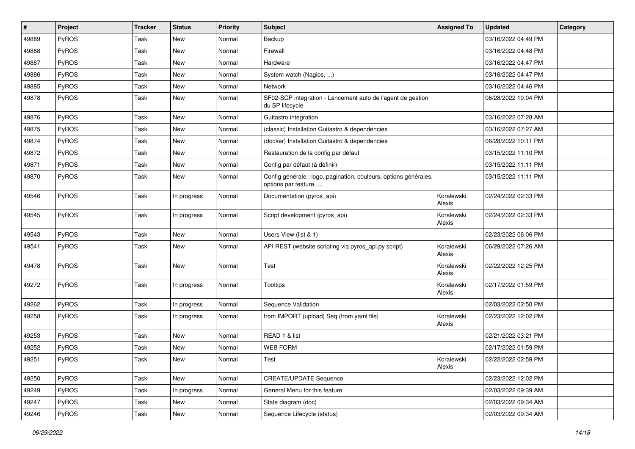| #     | Project      | <b>Tracker</b> | <b>Status</b> | <b>Priority</b> | <b>Subject</b>                                                                           | <b>Assigned To</b>   | <b>Updated</b>      | Category |
|-------|--------------|----------------|---------------|-----------------|------------------------------------------------------------------------------------------|----------------------|---------------------|----------|
| 49889 | <b>PyROS</b> | Task           | New           | Normal          | Backup                                                                                   |                      | 03/16/2022 04:49 PM |          |
| 49888 | PyROS        | Task           | New           | Normal          | Firewall                                                                                 |                      | 03/16/2022 04:48 PM |          |
| 49887 | PyROS        | Task           | New           | Normal          | Hardware                                                                                 |                      | 03/16/2022 04:47 PM |          |
| 49886 | PyROS        | Task           | New           | Normal          | System watch (Nagios, )                                                                  |                      | 03/16/2022 04:47 PM |          |
| 49885 | PyROS        | Task           | New           | Normal          | Network                                                                                  |                      | 03/16/2022 04:46 PM |          |
| 49878 | PyROS        | Task           | New           | Normal          | SF02-SCP integration - Lancement auto de l'agent de gestion<br>du SP lifecycle           |                      | 06/28/2022 10:04 PM |          |
| 49876 | PyROS        | Task           | New           | Normal          | Guitastro integration                                                                    |                      | 03/16/2022 07:28 AM |          |
| 49875 | PyROS        | Task           | New           | Normal          | (classic) Installation Guitastro & dependencies                                          |                      | 03/16/2022 07:27 AM |          |
| 49874 | PyROS        | Task           | New           | Normal          | (docker) Installation Guitastro & dependencies                                           |                      | 06/28/2022 10:11 PM |          |
| 49872 | <b>PyROS</b> | Task           | New           | Normal          | Restauration de la config par défaut                                                     |                      | 03/15/2022 11:10 PM |          |
| 49871 | PyROS        | Task           | New           | Normal          | Config par défaut (à définir)                                                            |                      | 03/15/2022 11:11 PM |          |
| 49870 | PyROS        | Task           | New           | Normal          | Config générale : logo, pagination, couleurs, options générales,<br>options par feature, |                      | 03/15/2022 11:11 PM |          |
| 49546 | PyROS        | Task           | In progress   | Normal          | Documentation (pyros_api)                                                                | Koralewski<br>Alexis | 02/24/2022 02:33 PM |          |
| 49545 | PyROS        | Task           | In progress   | Normal          | Script development (pyros_api)                                                           | Koralewski<br>Alexis | 02/24/2022 02:33 PM |          |
| 49543 | PyROS        | Task           | New           | Normal          | Users View (list & 1)                                                                    |                      | 02/23/2022 06:06 PM |          |
| 49541 | PyROS        | Task           | New           | Normal          | API REST (website scripting via pyros_api.py script)                                     | Koralewski<br>Alexis | 06/29/2022 07:26 AM |          |
| 49478 | PyROS        | Task           | New           | Normal          | Test                                                                                     | Koralewski<br>Alexis | 02/22/2022 12:25 PM |          |
| 49272 | PyROS        | Task           | In progress   | Normal          | Tooltips                                                                                 | Koralewski<br>Alexis | 02/17/2022 01:59 PM |          |
| 49262 | PyROS        | Task           | In progress   | Normal          | Sequence Validation                                                                      |                      | 02/03/2022 02:50 PM |          |
| 49258 | PyROS        | Task           | In progress   | Normal          | from IMPORT (upload) Seq (from yaml file)                                                | Koralewski<br>Alexis | 02/23/2022 12:02 PM |          |
| 49253 | PyROS        | Task           | New           | Normal          | READ 1 & list                                                                            |                      | 02/21/2022 03:21 PM |          |
| 49252 | PyROS        | Task           | New           | Normal          | <b>WEB FORM</b>                                                                          |                      | 02/17/2022 01:59 PM |          |
| 49251 | PyROS        | Task           | New           | Normal          | Test                                                                                     | Koralewski<br>Alexis | 02/22/2022 02:59 PM |          |
| 49250 | PyROS        | Task           | New           | Normal          | <b>CREATE/UPDATE Sequence</b>                                                            |                      | 02/23/2022 12:02 PM |          |
| 49249 | PyROS        | Task           | In progress   | Normal          | General Menu for this feature                                                            |                      | 02/03/2022 09:39 AM |          |
| 49247 | PyROS        | Task           | New           | Normal          | State diagram (doc)                                                                      |                      | 02/03/2022 09:34 AM |          |
| 49246 | PyROS        | Task           | New           | Normal          | Sequence Lifecycle (status)                                                              |                      | 02/03/2022 09:34 AM |          |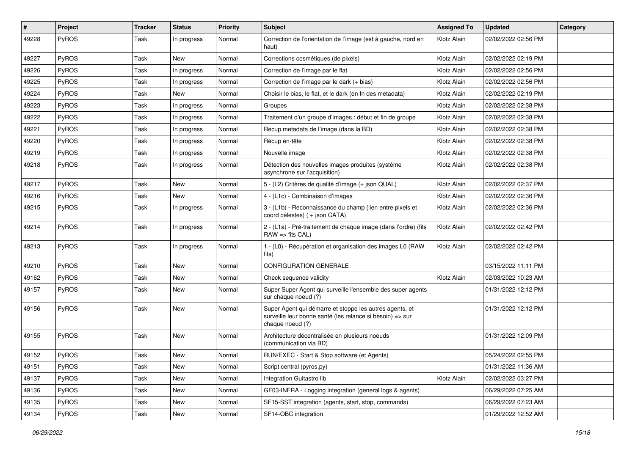| #     | Project      | <b>Tracker</b> | <b>Status</b> | <b>Priority</b> | Subject                                                                                                                                  | <b>Assigned To</b> | <b>Updated</b>      | Category |
|-------|--------------|----------------|---------------|-----------------|------------------------------------------------------------------------------------------------------------------------------------------|--------------------|---------------------|----------|
| 49228 | <b>PyROS</b> | Task           | In progress   | Normal          | Correction de l'orientation de l'image (est à gauche, nord en<br>haut)                                                                   | Klotz Alain        | 02/02/2022 02:56 PM |          |
| 49227 | PyROS        | Task           | <b>New</b>    | Normal          | Corrections cosmétiques (de pixels)                                                                                                      | Klotz Alain        | 02/02/2022 02:19 PM |          |
| 49226 | PyROS        | Task           | In progress   | Normal          | Correction de l'image par le flat                                                                                                        | Klotz Alain        | 02/02/2022 02:56 PM |          |
| 49225 | PyROS        | Task           | In progress   | Normal          | Correction de l'image par le dark (+ bias)                                                                                               | Klotz Alain        | 02/02/2022 02:56 PM |          |
| 49224 | <b>PyROS</b> | Task           | New           | Normal          | Choisir le bias, le flat, et le dark (en fn des metadata)                                                                                | Klotz Alain        | 02/02/2022 02:19 PM |          |
| 49223 | PyROS        | Task           | In progress   | Normal          | Groupes                                                                                                                                  | Klotz Alain        | 02/02/2022 02:38 PM |          |
| 49222 | PyROS        | Task           | In progress   | Normal          | Traitement d'un groupe d'images : début et fin de groupe                                                                                 | Klotz Alain        | 02/02/2022 02:38 PM |          |
| 49221 | PyROS        | Task           | In progress   | Normal          | Recup metadata de l'image (dans la BD)                                                                                                   | Klotz Alain        | 02/02/2022 02:38 PM |          |
| 49220 | PyROS        | Task           | In progress   | Normal          | Récup en-tête                                                                                                                            | Klotz Alain        | 02/02/2022 02:38 PM |          |
| 49219 | <b>PyROS</b> | Task           | In progress   | Normal          | Nouvelle image                                                                                                                           | Klotz Alain        | 02/02/2022 02:38 PM |          |
| 49218 | PyROS        | Task           | In progress   | Normal          | Détection des nouvelles images produites (système<br>asynchrone sur l'acquisition)                                                       | Klotz Alain        | 02/02/2022 02:38 PM |          |
| 49217 | PyROS        | Task           | New           | Normal          | 5 - (L2) Critères de qualité d'image (+ json QUAL)                                                                                       | Klotz Alain        | 02/02/2022 02:37 PM |          |
| 49216 | PyROS        | Task           | <b>New</b>    | Normal          | 4 - (L1c) - Combinaison d'images                                                                                                         | Klotz Alain        | 02/02/2022 02:36 PM |          |
| 49215 | PyROS        | Task           | In progress   | Normal          | 3 - (L1b) - Reconnaissance du champ (lien entre pixels et<br>coord célestes) ( + json CATA)                                              | Klotz Alain        | 02/02/2022 02:36 PM |          |
| 49214 | PyROS        | Task           | In progress   | Normal          | 2 - (L1a) - Pré-traitement de chaque image (dans l'ordre) (fits<br>$RAW \Rightarrow fits CAL$                                            | Klotz Alain        | 02/02/2022 02:42 PM |          |
| 49213 | PyROS        | Task           | In progress   | Normal          | 1 - (L0) - Récupération et organisation des images L0 (RAW<br>fits)                                                                      | Klotz Alain        | 02/02/2022 02:42 PM |          |
| 49210 | <b>PyROS</b> | Task           | New           | Normal          | <b>CONFIGURATION GENERALE</b>                                                                                                            |                    | 03/15/2022 11:11 PM |          |
| 49162 | PyROS        | Task           | New           | Normal          | Check sequence validity                                                                                                                  | Klotz Alain        | 02/03/2022 10:23 AM |          |
| 49157 | PyROS        | Task           | New           | Normal          | Super Super Agent qui surveille l'ensemble des super agents<br>sur chaque noeud (?)                                                      |                    | 01/31/2022 12:12 PM |          |
| 49156 | PyROS        | Task           | New           | Normal          | Super Agent qui démarre et stoppe les autres agents, et<br>surveille leur bonne santé (les relance si besoin) => sur<br>chaque noeud (?) |                    | 01/31/2022 12:12 PM |          |
| 49155 | PyROS        | Task           | New           | Normal          | Architecture décentralisée en plusieurs noeuds<br>(communication via BD)                                                                 |                    | 01/31/2022 12:09 PM |          |
| 49152 | PyROS        | Task           | New           | Normal          | RUN/EXEC - Start & Stop software (et Agents)                                                                                             |                    | 05/24/2022 02:55 PM |          |
| 49151 | PyROS        | Task           | New           | Normal          | Script central (pyros.py)                                                                                                                |                    | 01/31/2022 11:36 AM |          |
| 49137 | PyROS        | Task           | New           | Normal          | Integration Guitastro lib                                                                                                                | Klotz Alain        | 02/02/2022 03:27 PM |          |
| 49136 | PyROS        | Task           | New           | Normal          | GF03-INFRA - Logging integration (general logs & agents)                                                                                 |                    | 06/29/2022 07:25 AM |          |
| 49135 | PyROS        | Task           | New           | Normal          | SF15-SST integration (agents, start, stop, commands)                                                                                     |                    | 06/29/2022 07:23 AM |          |
| 49134 | PyROS        | Task           | New           | Normal          | SF14-OBC integration                                                                                                                     |                    | 01/29/2022 12:52 AM |          |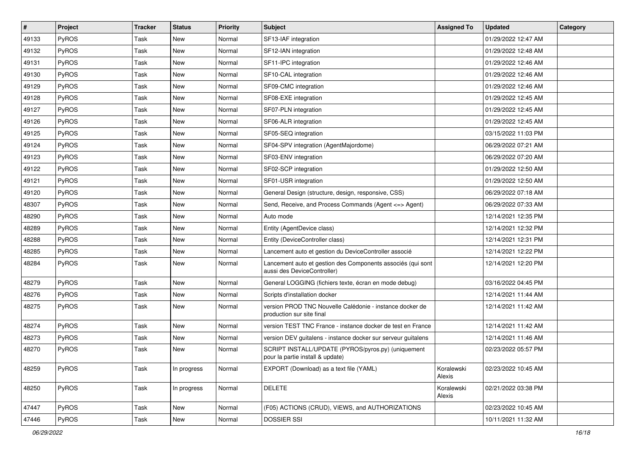| #     | <b>Project</b> | <b>Tracker</b> | <b>Status</b> | <b>Priority</b> | <b>Subject</b>                                                                             | <b>Assigned To</b>   | <b>Updated</b>      | Category |
|-------|----------------|----------------|---------------|-----------------|--------------------------------------------------------------------------------------------|----------------------|---------------------|----------|
| 49133 | PyROS          | Task           | New           | Normal          | SF13-IAF integration                                                                       |                      | 01/29/2022 12:47 AM |          |
| 49132 | PyROS          | Task           | <b>New</b>    | Normal          | SF12-IAN integration                                                                       |                      | 01/29/2022 12:48 AM |          |
| 49131 | PyROS          | Task           | New           | Normal          | SF11-IPC integration                                                                       |                      | 01/29/2022 12:46 AM |          |
| 49130 | PyROS          | Task           | New           | Normal          | SF10-CAL integration                                                                       |                      | 01/29/2022 12:46 AM |          |
| 49129 | PyROS          | Task           | <b>New</b>    | Normal          | SF09-CMC integration                                                                       |                      | 01/29/2022 12:46 AM |          |
| 49128 | PyROS          | Task           | New           | Normal          | SF08-EXE integration                                                                       |                      | 01/29/2022 12:45 AM |          |
| 49127 | PyROS          | Task           | <b>New</b>    | Normal          | SF07-PLN integration                                                                       |                      | 01/29/2022 12:45 AM |          |
| 49126 | PyROS          | Task           | New           | Normal          | SF06-ALR integration                                                                       |                      | 01/29/2022 12:45 AM |          |
| 49125 | PyROS          | Task           | New           | Normal          | SF05-SEQ integration                                                                       |                      | 03/15/2022 11:03 PM |          |
| 49124 | PyROS          | Task           | <b>New</b>    | Normal          | SF04-SPV integration (AgentMajordome)                                                      |                      | 06/29/2022 07:21 AM |          |
| 49123 | <b>PyROS</b>   | Task           | <b>New</b>    | Normal          | SF03-ENV integration                                                                       |                      | 06/29/2022 07:20 AM |          |
| 49122 | PyROS          | Task           | New           | Normal          | SF02-SCP integration                                                                       |                      | 01/29/2022 12:50 AM |          |
| 49121 | PyROS          | Task           | New           | Normal          | SF01-USR integration                                                                       |                      | 01/29/2022 12:50 AM |          |
| 49120 | PyROS          | Task           | <b>New</b>    | Normal          | General Design (structure, design, responsive, CSS)                                        |                      | 06/29/2022 07:18 AM |          |
| 48307 | PyROS          | Task           | <b>New</b>    | Normal          | Send, Receive, and Process Commands (Agent <= > Agent)                                     |                      | 06/29/2022 07:33 AM |          |
| 48290 | PyROS          | Task           | New           | Normal          | Auto mode                                                                                  |                      | 12/14/2021 12:35 PM |          |
| 48289 | PyROS          | Task           | New           | Normal          | Entity (AgentDevice class)                                                                 |                      | 12/14/2021 12:32 PM |          |
| 48288 | PyROS          | Task           | New           | Normal          | Entity (DeviceController class)                                                            |                      | 12/14/2021 12:31 PM |          |
| 48285 | PyROS          | Task           | New           | Normal          | Lancement auto et gestion du DeviceController associé                                      |                      | 12/14/2021 12:22 PM |          |
| 48284 | PyROS          | Task           | New           | Normal          | Lancement auto et gestion des Components associés (qui sont<br>aussi des DeviceController) |                      | 12/14/2021 12:20 PM |          |
| 48279 | PyROS          | Task           | New           | Normal          | General LOGGING (fichiers texte, écran en mode debug)                                      |                      | 03/16/2022 04:45 PM |          |
| 48276 | PyROS          | Task           | <b>New</b>    | Normal          | Scripts d'installation docker                                                              |                      | 12/14/2021 11:44 AM |          |
| 48275 | <b>PyROS</b>   | Task           | New           | Normal          | version PROD TNC Nouvelle Calédonie - instance docker de<br>production sur site final      |                      | 12/14/2021 11:42 AM |          |
| 48274 | PyROS          | Task           | <b>New</b>    | Normal          | version TEST TNC France - instance docker de test en France                                |                      | 12/14/2021 11:42 AM |          |
| 48273 | PyROS          | Task           | New           | Normal          | version DEV guitalens - instance docker sur serveur guitalens                              |                      | 12/14/2021 11:46 AM |          |
| 48270 | PyROS          | Task           | New           | Normal          | SCRIPT INSTALL/UPDATE (PYROS/pyros.py) (uniquement<br>pour la partie install & update)     |                      | 02/23/2022 05:57 PM |          |
| 48259 | PyROS          | Task           | In progress   | Normal          | EXPORT (Download) as a text file (YAML)                                                    | Koralewski<br>Alexis | 02/23/2022 10:45 AM |          |
| 48250 | PyROS          | Task           | In progress   | Normal          | <b>DELETE</b>                                                                              | Koralewski<br>Alexis | 02/21/2022 03:38 PM |          |
| 47447 | PyROS          | Task           | New           | Normal          | (F05) ACTIONS (CRUD), VIEWS, and AUTHORIZATIONS                                            |                      | 02/23/2022 10:45 AM |          |
| 47446 | PyROS          | Task           | New           | Normal          | <b>DOSSIER SSI</b>                                                                         |                      | 10/11/2021 11:32 AM |          |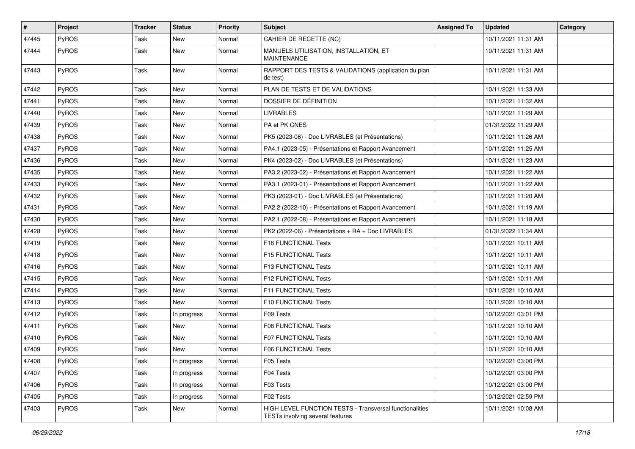| $\vert$ # | Project      | <b>Tracker</b> | <b>Status</b> | <b>Priority</b> | <b>Subject</b>                                                                              | <b>Assigned To</b> | <b>Updated</b>      | Category |
|-----------|--------------|----------------|---------------|-----------------|---------------------------------------------------------------------------------------------|--------------------|---------------------|----------|
| 47445     | PyROS        | Task           | New           | Normal          | CAHIER DE RECETTE (NC)                                                                      |                    | 10/11/2021 11:31 AM |          |
| 47444     | PyROS        | Task           | New           | Normal          | MANUELS UTILISATION, INSTALLATION, ET<br><b>MAINTENANCE</b>                                 |                    | 10/11/2021 11:31 AM |          |
| 47443     | PyROS        | Task           | New           | Normal          | RAPPORT DES TESTS & VALIDATIONS (application du plan<br>de test)                            |                    | 10/11/2021 11:31 AM |          |
| 47442     | <b>PyROS</b> | Task           | New           | Normal          | PLAN DE TESTS ET DE VALIDATIONS                                                             |                    | 10/11/2021 11:33 AM |          |
| 47441     | PyROS        | Task           | <b>New</b>    | Normal          | DOSSIER DE DÉFINITION                                                                       |                    | 10/11/2021 11:32 AM |          |
| 47440     | PyROS        | Task           | New           | Normal          | <b>LIVRABLES</b>                                                                            |                    | 10/11/2021 11:29 AM |          |
| 47439     | PyROS        | Task           | New           | Normal          | PA et PK CNES                                                                               |                    | 01/31/2022 11:29 AM |          |
| 47438     | PyROS        | Task           | New           | Normal          | PK5 (2023-06) - Doc LIVRABLES (et Présentations)                                            |                    | 10/11/2021 11:26 AM |          |
| 47437     | <b>PyROS</b> | Task           | New           | Normal          | PA4.1 (2023-05) - Présentations et Rapport Avancement                                       |                    | 10/11/2021 11:25 AM |          |
| 47436     | PyROS        | Task           | New           | Normal          | PK4 (2023-02) - Doc LIVRABLES (et Présentations)                                            |                    | 10/11/2021 11:23 AM |          |
| 47435     | PyROS        | Task           | New           | Normal          | PA3.2 (2023-02) - Présentations et Rapport Avancement                                       |                    | 10/11/2021 11:22 AM |          |
| 47433     | <b>PyROS</b> | Task           | New           | Normal          | PA3.1 (2023-01) - Présentations et Rapport Avancement                                       |                    | 10/11/2021 11:22 AM |          |
| 47432     | PyROS        | Task           | New           | Normal          | PK3 (2023-01) - Doc LIVRABLES (et Présentations)                                            |                    | 10/11/2021 11:20 AM |          |
| 47431     | PyROS        | Task           | New           | Normal          | PA2.2 (2022-10) - Présentations et Rapport Avancement                                       |                    | 10/11/2021 11:19 AM |          |
| 47430     | PyROS        | Task           | New           | Normal          | PA2.1 (2022-08) - Présentations et Rapport Avancement                                       |                    | 10/11/2021 11:18 AM |          |
| 47428     | PyROS        | Task           | New           | Normal          | PK2 (2022-06) - Présentations + RA + Doc LIVRABLES                                          |                    | 01/31/2022 11:34 AM |          |
| 47419     | <b>PyROS</b> | Task           | New           | Normal          | F16 FUNCTIONAL Tests                                                                        |                    | 10/11/2021 10:11 AM |          |
| 47418     | PyROS        | Task           | <b>New</b>    | Normal          | F15 FUNCTIONAL Tests                                                                        |                    | 10/11/2021 10:11 AM |          |
| 47416     | PyROS        | Task           | New           | Normal          | F13 FUNCTIONAL Tests                                                                        |                    | 10/11/2021 10:11 AM |          |
| 47415     | PyROS        | Task           | New           | Normal          | F12 FUNCTIONAL Tests                                                                        |                    | 10/11/2021 10:11 AM |          |
| 47414     | PyROS        | Task           | New           | Normal          | F11 FUNCTIONAL Tests                                                                        |                    | 10/11/2021 10:10 AM |          |
| 47413     | PyROS        | Task           | New           | Normal          | F10 FUNCTIONAL Tests                                                                        |                    | 10/11/2021 10:10 AM |          |
| 47412     | PyROS        | Task           | In progress   | Normal          | F09 Tests                                                                                   |                    | 10/12/2021 03:01 PM |          |
| 47411     | PyROS        | Task           | New           | Normal          | F08 FUNCTIONAL Tests                                                                        |                    | 10/11/2021 10:10 AM |          |
| 47410     | PyROS        | Task           | New           | Normal          | <b>F07 FUNCTIONAL Tests</b>                                                                 |                    | 10/11/2021 10:10 AM |          |
| 47409     | PyROS        | Task           | New           | Normal          | F06 FUNCTIONAL Tests                                                                        |                    | 10/11/2021 10:10 AM |          |
| 47408     | PyROS        | Task           | In progress   | Normal          | F05 Tests                                                                                   |                    | 10/12/2021 03:00 PM |          |
| 47407     | PyROS        | Task           | In progress   | Normal          | F04 Tests                                                                                   |                    | 10/12/2021 03:00 PM |          |
| 47406     | PyROS        | Task           | In progress   | Normal          | F03 Tests                                                                                   |                    | 10/12/2021 03:00 PM |          |
| 47405     | PyROS        | Task           | In progress   | Normal          | F02 Tests                                                                                   |                    | 10/12/2021 02:59 PM |          |
| 47403     | PyROS        | Task           | New           | Normal          | HIGH LEVEL FUNCTION TESTS - Transversal functionalities<br>TESTs involving several features |                    | 10/11/2021 10:08 AM |          |